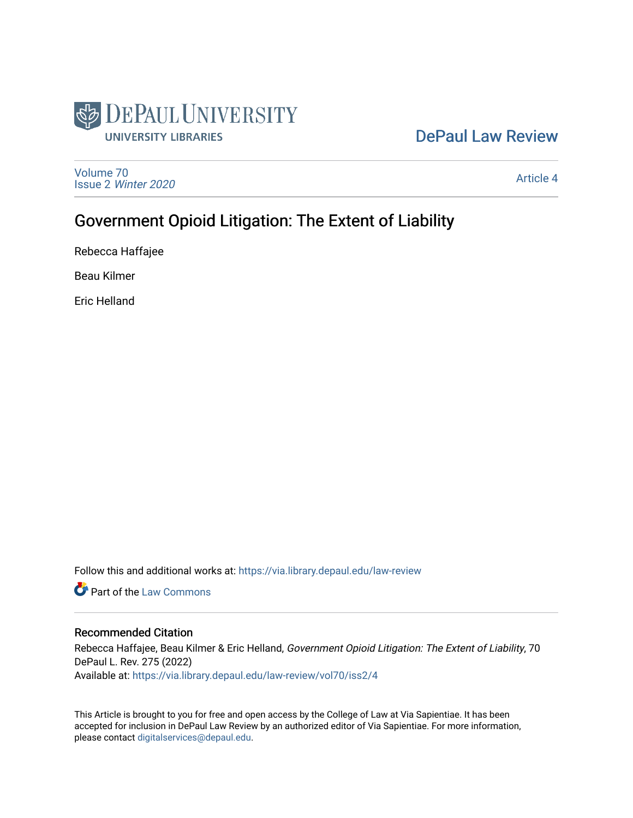

# [DePaul Law Review](https://via.library.depaul.edu/law-review)

[Volume 70](https://via.library.depaul.edu/law-review/vol70) Issue 2 [Winter 2020](https://via.library.depaul.edu/law-review/vol70/iss2) 

[Article 4](https://via.library.depaul.edu/law-review/vol70/iss2/4) 

# Government Opioid Litigation: The Extent of Liability

Rebecca Haffajee

Beau Kilmer

Eric Helland

Follow this and additional works at: [https://via.library.depaul.edu/law-review](https://via.library.depaul.edu/law-review?utm_source=via.library.depaul.edu%2Flaw-review%2Fvol70%2Fiss2%2F4&utm_medium=PDF&utm_campaign=PDFCoverPages) 

**Part of the [Law Commons](http://network.bepress.com/hgg/discipline/578?utm_source=via.library.depaul.edu%2Flaw-review%2Fvol70%2Fiss2%2F4&utm_medium=PDF&utm_campaign=PDFCoverPages)** 

# Recommended Citation

Rebecca Haffajee, Beau Kilmer & Eric Helland, Government Opioid Litigation: The Extent of Liability, 70 DePaul L. Rev. 275 (2022) Available at: [https://via.library.depaul.edu/law-review/vol70/iss2/4](https://via.library.depaul.edu/law-review/vol70/iss2/4?utm_source=via.library.depaul.edu%2Flaw-review%2Fvol70%2Fiss2%2F4&utm_medium=PDF&utm_campaign=PDFCoverPages) 

This Article is brought to you for free and open access by the College of Law at Via Sapientiae. It has been accepted for inclusion in DePaul Law Review by an authorized editor of Via Sapientiae. For more information, please contact [digitalservices@depaul.edu.](mailto:digitalservices@depaul.edu)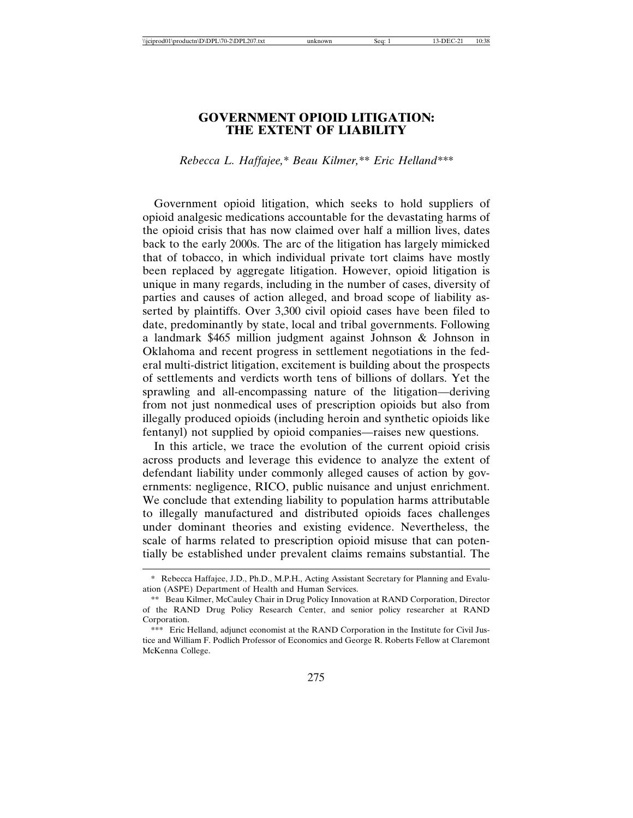# **GOVERNMENT OPIOID LITIGATION: THE EXTENT OF LIABILITY**

*Rebecca L. Haffajee,\* Beau Kilmer,\*\* Eric Helland\*\*\**

Government opioid litigation, which seeks to hold suppliers of opioid analgesic medications accountable for the devastating harms of the opioid crisis that has now claimed over half a million lives, dates back to the early 2000s. The arc of the litigation has largely mimicked that of tobacco, in which individual private tort claims have mostly been replaced by aggregate litigation. However, opioid litigation is unique in many regards, including in the number of cases, diversity of parties and causes of action alleged, and broad scope of liability asserted by plaintiffs. Over 3,300 civil opioid cases have been filed to date, predominantly by state, local and tribal governments. Following a landmark \$465 million judgment against Johnson & Johnson in Oklahoma and recent progress in settlement negotiations in the federal multi-district litigation, excitement is building about the prospects of settlements and verdicts worth tens of billions of dollars. Yet the sprawling and all-encompassing nature of the litigation—deriving from not just nonmedical uses of prescription opioids but also from illegally produced opioids (including heroin and synthetic opioids like fentanyl) not supplied by opioid companies—raises new questions.

In this article, we trace the evolution of the current opioid crisis across products and leverage this evidence to analyze the extent of defendant liability under commonly alleged causes of action by governments: negligence, RICO, public nuisance and unjust enrichment. We conclude that extending liability to population harms attributable to illegally manufactured and distributed opioids faces challenges under dominant theories and existing evidence. Nevertheless, the scale of harms related to prescription opioid misuse that can potentially be established under prevalent claims remains substantial. The

<sup>\*</sup> Rebecca Haffajee, J.D., Ph.D., M.P.H., Acting Assistant Secretary for Planning and Evaluation (ASPE) Department of Health and Human Services.

<sup>\*\*</sup> Beau Kilmer, McCauley Chair in Drug Policy Innovation at RAND Corporation, Director of the RAND Drug Policy Research Center, and senior policy researcher at RAND Corporation.

<sup>\*\*\*</sup> Eric Helland, adjunct economist at the RAND Corporation in the Institute for Civil Justice and William F. Podlich Professor of Economics and George R. Roberts Fellow at Claremont McKenna College.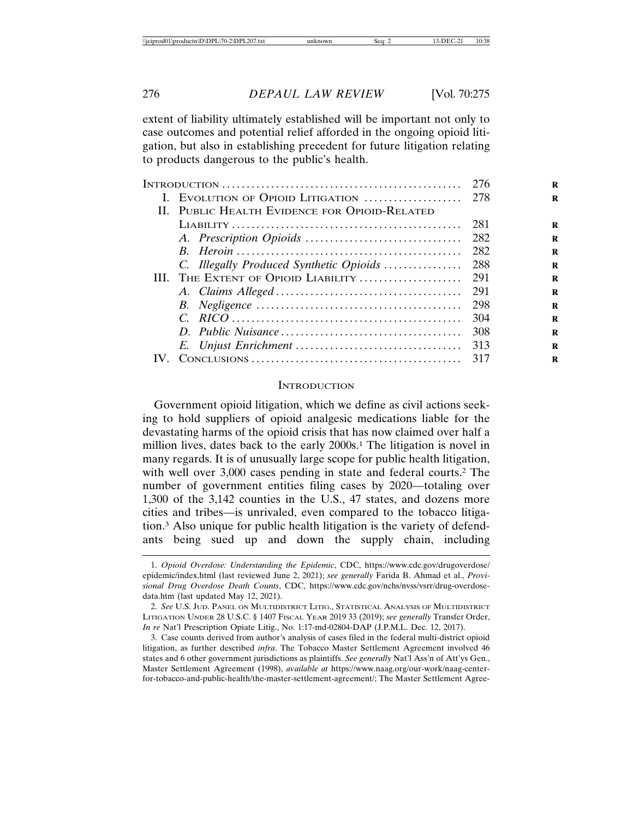extent of liability ultimately established will be important not only to case outcomes and potential relief afforded in the ongoing opioid litigation, but also in establishing precedent for future litigation relating to products dangerous to the public's health.

|  | II. PUBLIC HEALTH EVIDENCE FOR OPIOID-RELATED |       |
|--|-----------------------------------------------|-------|
|  |                                               | 281   |
|  |                                               |       |
|  |                                               |       |
|  | C. Illegally Produced Synthetic Opioids       | - 288 |
|  |                                               |       |
|  |                                               |       |
|  |                                               |       |
|  |                                               | 304   |
|  |                                               | 308   |
|  |                                               |       |
|  |                                               | 317   |

#### **INTRODUCTION**

Government opioid litigation, which we define as civil actions seeking to hold suppliers of opioid analgesic medications liable for the devastating harms of the opioid crisis that has now claimed over half a million lives, dates back to the early 2000s.1 The litigation is novel in many regards. It is of unusually large scope for public health litigation, with well over 3,000 cases pending in state and federal courts.<sup>2</sup> The number of government entities filing cases by 2020—totaling over 1,300 of the 3,142 counties in the U.S., 47 states, and dozens more cities and tribes—is unrivaled, even compared to the tobacco litigation.3 Also unique for public health litigation is the variety of defendants being sued up and down the supply chain, including

<sup>1.</sup> *Opioid Overdose: Understanding the Epidemic*, CDC, https://www.cdc.gov/drugoverdose/ epidemic/index.html (last reviewed June 2, 2021); *see generally* Farida B. Ahmad et al., *Provisional Drug Overdose Death Counts*, CDC, https://www.cdc.gov/nchs/nvss/vsrr/drug-overdosedata.htm (last updated May 12, 2021).

<sup>2.</sup> *See* U.S. JUD. PANEL ON MULTIDISTRICT LITIG., STATISTICAL ANALYSIS OF MULTIDISTRICT LITIGATION UNDER 28 U.S.C. § 1407 FISCAL YEAR 2019 33 (2019); *see generally* Transfer Order, *In re* Nat'l Prescription Opiate Litig., No. 1:17-md-02804-DAP (J.P.M.L. Dec. 12, 2017).

<sup>3.</sup> Case counts derived from author's analysis of cases filed in the federal multi-district opioid litigation, as further described *infra*. The Tobacco Master Settlement Agreement involved 46 states and 6 other government jurisdictions as plaintiffs. *See generally* Nat'l Ass'n of Att'ys Gen., Master Settlement Agreement (1998), *available at* https://www.naag.org/our-work/naag-centerfor-tobacco-and-public-health/the-master-settlement-agreement/; The Master Settlement Agree-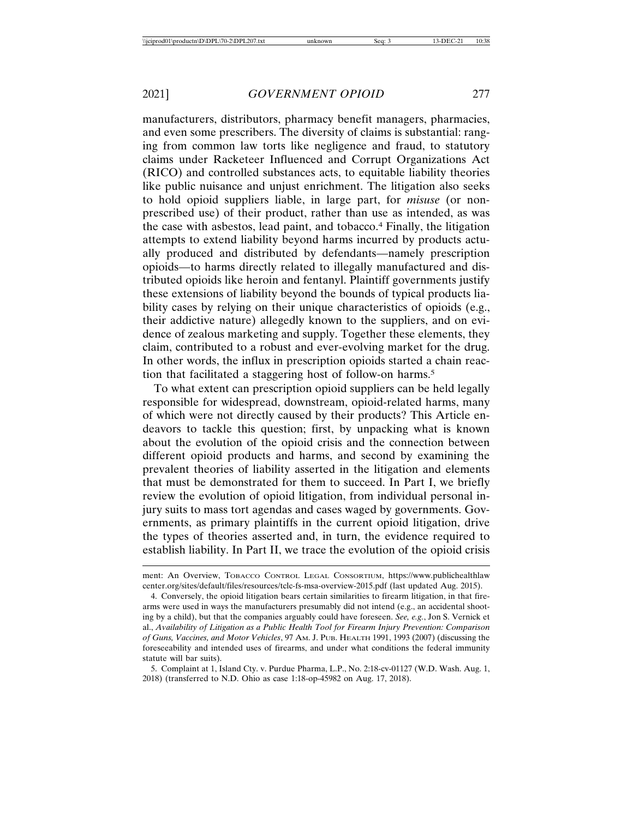manufacturers, distributors, pharmacy benefit managers, pharmacies, and even some prescribers. The diversity of claims is substantial: ranging from common law torts like negligence and fraud, to statutory claims under Racketeer Influenced and Corrupt Organizations Act (RICO) and controlled substances acts, to equitable liability theories like public nuisance and unjust enrichment. The litigation also seeks to hold opioid suppliers liable, in large part, for *misuse* (or nonprescribed use) of their product, rather than use as intended, as was the case with asbestos, lead paint, and tobacco.4 Finally, the litigation attempts to extend liability beyond harms incurred by products actually produced and distributed by defendants—namely prescription opioids—to harms directly related to illegally manufactured and distributed opioids like heroin and fentanyl. Plaintiff governments justify these extensions of liability beyond the bounds of typical products liability cases by relying on their unique characteristics of opioids (e.g., their addictive nature) allegedly known to the suppliers, and on evidence of zealous marketing and supply. Together these elements, they claim, contributed to a robust and ever-evolving market for the drug. In other words, the influx in prescription opioids started a chain reaction that facilitated a staggering host of follow-on harms.5

To what extent can prescription opioid suppliers can be held legally responsible for widespread, downstream, opioid-related harms, many of which were not directly caused by their products? This Article endeavors to tackle this question; first, by unpacking what is known about the evolution of the opioid crisis and the connection between different opioid products and harms, and second by examining the prevalent theories of liability asserted in the litigation and elements that must be demonstrated for them to succeed. In Part I, we briefly review the evolution of opioid litigation, from individual personal injury suits to mass tort agendas and cases waged by governments. Governments, as primary plaintiffs in the current opioid litigation, drive the types of theories asserted and, in turn, the evidence required to establish liability. In Part II, we trace the evolution of the opioid crisis

5. Complaint at 1, Island Cty. v. Purdue Pharma, L.P., No. 2:18-cv-01127 (W.D. Wash. Aug. 1, 2018) (transferred to N.D. Ohio as case 1:18-op-45982 on Aug. 17, 2018).

ment: An Overview, TOBACCO CONTROL LEGAL CONSORTIUM, https://www.publichealthlaw center.org/sites/default/files/resources/tclc-fs-msa-overview-2015.pdf (last updated Aug. 2015).

<sup>4.</sup> Conversely, the opioid litigation bears certain similarities to firearm litigation, in that firearms were used in ways the manufacturers presumably did not intend (e.g., an accidental shooting by a child), but that the companies arguably could have foreseen. *See, e.g.*, Jon S. Vernick et al., *Availability of Litigation as a Public Health Tool for Firearm Injury Prevention: Comparison of Guns, Vaccines, and Motor Vehicles*, 97 AM. J. PUB. HEALTH 1991, 1993 (2007) (discussing the foreseeability and intended uses of firearms, and under what conditions the federal immunity statute will bar suits).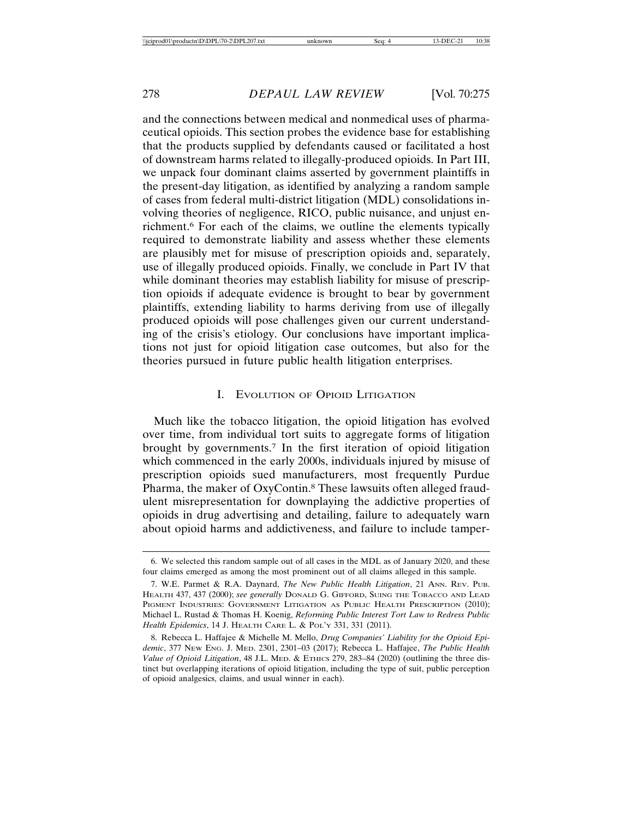and the connections between medical and nonmedical uses of pharmaceutical opioids. This section probes the evidence base for establishing that the products supplied by defendants caused or facilitated a host of downstream harms related to illegally-produced opioids. In Part III, we unpack four dominant claims asserted by government plaintiffs in the present-day litigation, as identified by analyzing a random sample of cases from federal multi-district litigation (MDL) consolidations involving theories of negligence, RICO, public nuisance, and unjust enrichment.6 For each of the claims, we outline the elements typically required to demonstrate liability and assess whether these elements are plausibly met for misuse of prescription opioids and, separately, use of illegally produced opioids. Finally, we conclude in Part IV that while dominant theories may establish liability for misuse of prescription opioids if adequate evidence is brought to bear by government plaintiffs, extending liability to harms deriving from use of illegally produced opioids will pose challenges given our current understanding of the crisis's etiology. Our conclusions have important implications not just for opioid litigation case outcomes, but also for the theories pursued in future public health litigation enterprises.

## I. EVOLUTION OF OPIOID LITIGATION

Much like the tobacco litigation, the opioid litigation has evolved over time, from individual tort suits to aggregate forms of litigation brought by governments.7 In the first iteration of opioid litigation which commenced in the early 2000s, individuals injured by misuse of prescription opioids sued manufacturers, most frequently Purdue Pharma, the maker of OxyContin.8 These lawsuits often alleged fraudulent misrepresentation for downplaying the addictive properties of opioids in drug advertising and detailing, failure to adequately warn about opioid harms and addictiveness, and failure to include tamper-

<sup>6.</sup> We selected this random sample out of all cases in the MDL as of January 2020, and these four claims emerged as among the most prominent out of all claims alleged in this sample.

<sup>7.</sup> W.E. Parmet & R.A. Daynard, *The New Public Health Litigation*, 21 ANN. REV. PUB. HEALTH 437, 437 (2000); *see generally* DONALD G. GIFFORD, SUING THE TOBACCO AND LEAD PIGMENT INDUSTRIES: GOVERNMENT LITIGATION AS PUBLIC HEALTH PRESCRIPTION (2010); Michael L. Rustad & Thomas H. Koenig, *Reforming Public Interest Tort Law to Redress Public Health Epidemics*, 14 J. HEALTH CARE L. & POL'Y 331, 331 (2011).

<sup>8.</sup> Rebecca L. Haffajee & Michelle M. Mello, *Drug Companies' Liability for the Opioid Epidemic*, 377 NEW ENG. J. MED. 2301, 2301–03 (2017); Rebecca L. Haffajee, *The Public Health Value of Opioid Litigation*, 48 J.L. MED. & ETHICS 279, 283–84 (2020) (outlining the three distinct but overlapping iterations of opioid litigation, including the type of suit, public perception of opioid analgesics, claims, and usual winner in each).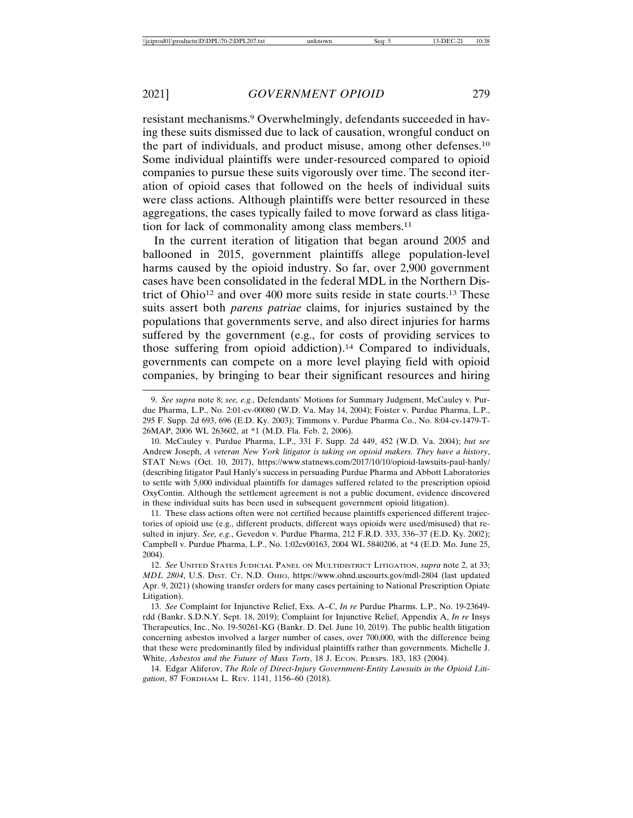resistant mechanisms.9 Overwhelmingly, defendants succeeded in having these suits dismissed due to lack of causation, wrongful conduct on the part of individuals, and product misuse, among other defenses.10 Some individual plaintiffs were under-resourced compared to opioid companies to pursue these suits vigorously over time. The second iteration of opioid cases that followed on the heels of individual suits were class actions. Although plaintiffs were better resourced in these aggregations, the cases typically failed to move forward as class litigation for lack of commonality among class members.<sup>11</sup>

In the current iteration of litigation that began around 2005 and ballooned in 2015, government plaintiffs allege population-level harms caused by the opioid industry. So far, over 2,900 government cases have been consolidated in the federal MDL in the Northern District of Ohio12 and over 400 more suits reside in state courts.13 These suits assert both *parens patriae* claims, for injuries sustained by the populations that governments serve, and also direct injuries for harms suffered by the government (e.g., for costs of providing services to those suffering from opioid addiction).14 Compared to individuals, governments can compete on a more level playing field with opioid companies, by bringing to bear their significant resources and hiring

11. These class actions often were not certified because plaintiffs experienced different trajectories of opioid use (e.g., different products, different ways opioids were used/misused) that resulted in injury. *See, e.g.*, Gevedon v. Purdue Pharma, 212 F.R.D. 333, 336–37 (E.D. Ky. 2002); Campbell v. Purdue Pharma, L.P., No. 1:02cv00163, 2004 WL 5840206, at \*4 (E.D. Mo. June 25, 2004).

14. Edgar Aliferov, *The Role of Direct-Injury Government-Entity Lawsuits in the Opioid Litigation*, 87 FORDHAM L. REV. 1141, 1156–60 (2018).

<sup>9.</sup> *See supra* note 8; *see, e.g.*, Defendants' Motions for Summary Judgment, McCauley v. Purdue Pharma, L.P., No. 2:01-cv-00080 (W.D. Va. May 14, 2004); Foister v. Purdue Pharma, L.P., 295 F. Supp. 2d 693, 696 (E.D. Ky. 2003); Timmons v. Purdue Pharma Co., No. 8:04-cv-1479-T-26MAP, 2006 WL 263602, at \*1 (M.D. Fla. Feb. 2, 2006).

<sup>10.</sup> McCauley v. Purdue Pharma, L.P., 331 F. Supp. 2d 449, 452 (W.D. Va. 2004); *but see* Andrew Joseph, *A veteran New York litigator is taking on opioid makers. They have a history*, STAT NEWS (Oct. 10, 2017), https://www.statnews.com/2017/10/10/opioid-lawsuits-paul-hanly/ (describing litigator Paul Hanly's success in persuading Purdue Pharma and Abbott Laboratories to settle with 5,000 individual plaintiffs for damages suffered related to the prescription opioid OxyContin. Although the settlement agreement is not a public document, evidence discovered in these individual suits has been used in subsequent government opioid litigation).

<sup>12.</sup> *See* UNITED STATES JUDICIAL PANEL ON MULTIDISTRICT LITIGATION, *supra* note 2, at 33; *MDL 2804*, U.S. DIST. CT. N.D. OHIO, https://www.ohnd.uscourts.gov/mdl-2804 (last updated Apr. 9, 2021) (showing transfer orders for many cases pertaining to National Prescription Opiate Litigation).

<sup>13.</sup> *See* Complaint for Injunctive Relief, Exs. A–C, *In re* Purdue Pharms. L.P., No. 19-23649 rdd (Bankr. S.D.N.Y. Sept. 18, 2019); Complaint for Injunctive Relief, Appendix A, *In re* Insys Therapeutics, Inc., No. 19-50261-KG (Bankr. D. Del. June 10, 2019). The public health litigation concerning asbestos involved a larger number of cases, over 700,000, with the difference being that these were predominantly filed by individual plaintiffs rather than governments. Michelle J. White, *Asbestos and the Future of Mass Torts*, 18 J. Econ. PERSPS. 183, 183 (2004).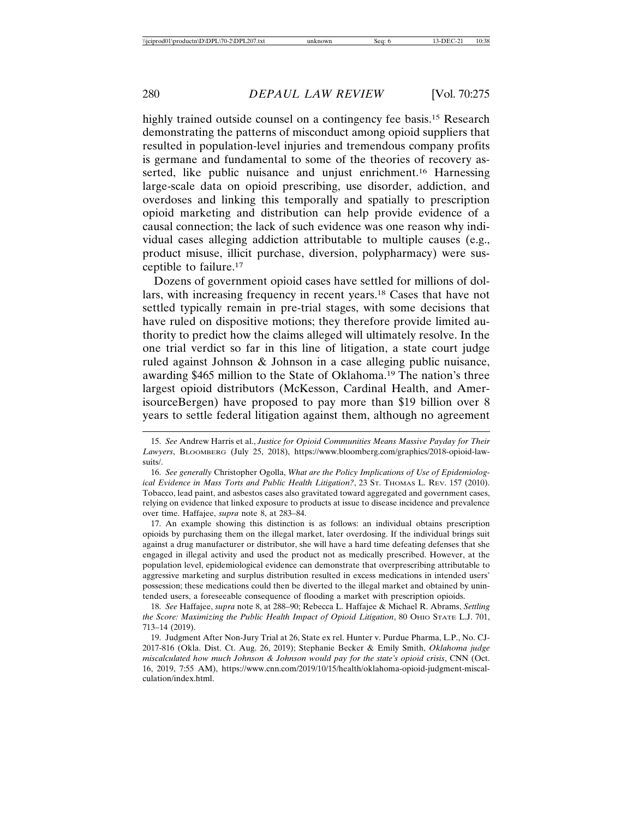highly trained outside counsel on a contingency fee basis.<sup>15</sup> Research demonstrating the patterns of misconduct among opioid suppliers that resulted in population-level injuries and tremendous company profits is germane and fundamental to some of the theories of recovery asserted, like public nuisance and unjust enrichment.<sup>16</sup> Harnessing large-scale data on opioid prescribing, use disorder, addiction, and overdoses and linking this temporally and spatially to prescription opioid marketing and distribution can help provide evidence of a causal connection; the lack of such evidence was one reason why individual cases alleging addiction attributable to multiple causes (e.g., product misuse, illicit purchase, diversion, polypharmacy) were susceptible to failure.17

Dozens of government opioid cases have settled for millions of dollars, with increasing frequency in recent years.18 Cases that have not settled typically remain in pre-trial stages, with some decisions that have ruled on dispositive motions; they therefore provide limited authority to predict how the claims alleged will ultimately resolve. In the one trial verdict so far in this line of litigation, a state court judge ruled against Johnson & Johnson in a case alleging public nuisance, awarding \$465 million to the State of Oklahoma.19 The nation's three largest opioid distributors (McKesson, Cardinal Health, and AmerisourceBergen) have proposed to pay more than \$19 billion over 8 years to settle federal litigation against them, although no agreement

16. *See generally* Christopher Ogolla, *What are the Policy Implications of Use of Epidemiological Evidence in Mass Torts and Public Health Litigation?*, 23 St. THOMAS L. REV. 157 (2010). Tobacco, lead paint, and asbestos cases also gravitated toward aggregated and government cases, relying on evidence that linked exposure to products at issue to disease incidence and prevalence over time. Haffajee, *supra* note 8, at 283–84.

17. An example showing this distinction is as follows: an individual obtains prescription opioids by purchasing them on the illegal market, later overdosing. If the individual brings suit against a drug manufacturer or distributor, she will have a hard time defeating defenses that she engaged in illegal activity and used the product not as medically prescribed. However, at the population level, epidemiological evidence can demonstrate that overprescribing attributable to aggressive marketing and surplus distribution resulted in excess medications in intended users' possession; these medications could then be diverted to the illegal market and obtained by unintended users, a foreseeable consequence of flooding a market with prescription opioids.

18. *See* Haffajee, *supra* note 8, at 288–90; Rebecca L. Haffajee & Michael R. Abrams, *Settling the Score: Maximizing the Public Health Impact of Opioid Litigation*, 80 OHIO STATE L.J. 701, 713–14 (2019).

19. Judgment After Non-Jury Trial at 26, State ex rel. Hunter v. Purdue Pharma, L.P., No. CJ-2017-816 (Okla. Dist. Ct. Aug. 26, 2019); Stephanie Becker & Emily Smith, *Oklahoma judge miscalculated how much Johnson & Johnson would pay for the state's opioid crisis*, CNN (Oct. 16, 2019, 7:55 AM), https://www.cnn.com/2019/10/15/health/oklahoma-opioid-judgment-miscalculation/index.html.

<sup>15.</sup> *See* Andrew Harris et al., *Justice for Opioid Communities Means Massive Payday for Their Lawyers*, BLOOMBERG (July 25, 2018), https://www.bloomberg.com/graphics/2018-opioid-lawsuits/.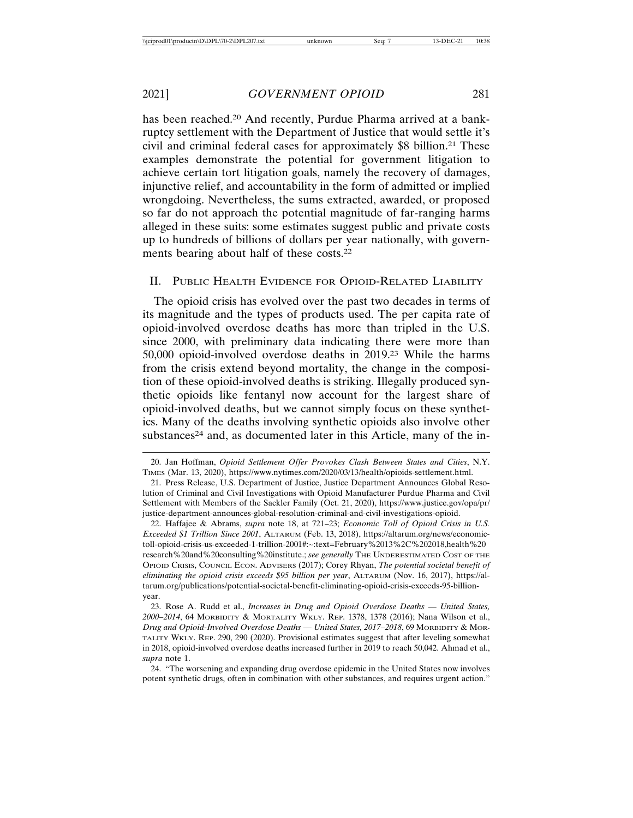has been reached.<sup>20</sup> And recently, Purdue Pharma arrived at a bankruptcy settlement with the Department of Justice that would settle it's civil and criminal federal cases for approximately \$8 billion.21 These examples demonstrate the potential for government litigation to achieve certain tort litigation goals, namely the recovery of damages, injunctive relief, and accountability in the form of admitted or implied wrongdoing. Nevertheless, the sums extracted, awarded, or proposed so far do not approach the potential magnitude of far-ranging harms alleged in these suits: some estimates suggest public and private costs up to hundreds of billions of dollars per year nationally, with governments bearing about half of these costs.22

#### II. PUBLIC HEALTH EVIDENCE FOR OPIOID-RELATED LIABILITY

The opioid crisis has evolved over the past two decades in terms of its magnitude and the types of products used. The per capita rate of opioid-involved overdose deaths has more than tripled in the U.S. since 2000, with preliminary data indicating there were more than 50,000 opioid-involved overdose deaths in 2019.23 While the harms from the crisis extend beyond mortality, the change in the composition of these opioid-involved deaths is striking. Illegally produced synthetic opioids like fentanyl now account for the largest share of opioid-involved deaths, but we cannot simply focus on these synthetics. Many of the deaths involving synthetic opioids also involve other substances<sup>24</sup> and, as documented later in this Article, many of the in-

<sup>20.</sup> Jan Hoffman, *Opioid Settlement Offer Provokes Clash Between States and Cities*, N.Y. TIMES (Mar. 13, 2020), https://www.nytimes.com/2020/03/13/health/opioids-settlement.html.

<sup>21.</sup> Press Release, U.S. Department of Justice, Justice Department Announces Global Resolution of Criminal and Civil Investigations with Opioid Manufacturer Purdue Pharma and Civil Settlement with Members of the Sackler Family (Oct. 21, 2020), https://www.justice.gov/opa/pr/ justice-department-announces-global-resolution-criminal-and-civil-investigations-opioid.

<sup>22.</sup> Haffajee & Abrams, *supra* note 18, at 721–23; *Economic Toll of Opioid Crisis in U.S. Exceeded \$1 Trillion Since 2001*, ALTARUM (Feb. 13, 2018), https://altarum.org/news/economictoll-opioid-crisis-us-exceeded-1-trillion-2001#:~:text=February%2013%2C%202018,health%20 research%20and%20consulting%20institute.; *see generally* THE UNDERESTIMATED COST OF THE OPIOID CRISIS, COUNCIL ECON. ADVISERS (2017); Corey Rhyan, *The potential societal benefit of eliminating the opioid crisis exceeds \$95 billion per year*, ALTARUM (Nov. 16, 2017), https://altarum.org/publications/potential-societal-benefit-eliminating-opioid-crisis-exceeds-95-billionyear.

<sup>23.</sup> Rose A. Rudd et al., *Increases in Drug and Opioid Overdose Deaths — United States, 2000–2014*, 64 MORBIDITY & MORTALITY WKLY. REP. 1378, 1378 (2016); Nana Wilson et al., *Drug and Opioid-Involved Overdose Deaths — United States, 2017–2018*, 69 MORBIDITY & MOR-TALITY WKLY. REP. 290, 290 (2020). Provisional estimates suggest that after leveling somewhat in 2018, opioid-involved overdose deaths increased further in 2019 to reach 50,042. Ahmad et al., *supra* note 1.

<sup>24. &</sup>quot;The worsening and expanding drug overdose epidemic in the United States now involves potent synthetic drugs, often in combination with other substances, and requires urgent action."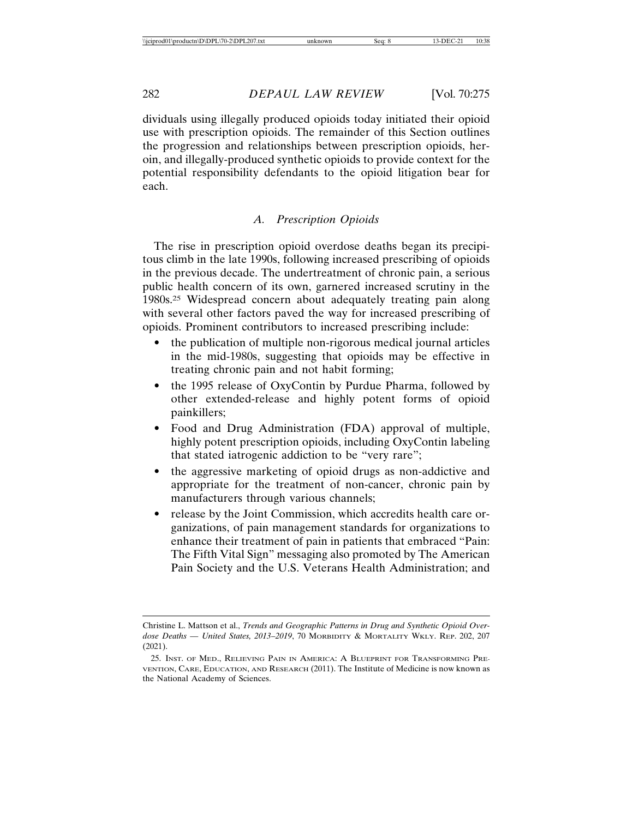dividuals using illegally produced opioids today initiated their opioid use with prescription opioids. The remainder of this Section outlines the progression and relationships between prescription opioids, heroin, and illegally-produced synthetic opioids to provide context for the potential responsibility defendants to the opioid litigation bear for each.

#### *A. Prescription Opioids*

The rise in prescription opioid overdose deaths began its precipitous climb in the late 1990s, following increased prescribing of opioids in the previous decade. The undertreatment of chronic pain, a serious public health concern of its own, garnered increased scrutiny in the 1980s.25 Widespread concern about adequately treating pain along with several other factors paved the way for increased prescribing of opioids. Prominent contributors to increased prescribing include:

- the publication of multiple non-rigorous medical journal articles in the mid-1980s, suggesting that opioids may be effective in treating chronic pain and not habit forming;
- the 1995 release of OxyContin by Purdue Pharma, followed by other extended-release and highly potent forms of opioid painkillers;
- Food and Drug Administration (FDA) approval of multiple, highly potent prescription opioids, including OxyContin labeling that stated iatrogenic addiction to be "very rare";
- the aggressive marketing of opioid drugs as non-addictive and appropriate for the treatment of non-cancer, chronic pain by manufacturers through various channels;
- release by the Joint Commission, which accredits health care organizations, of pain management standards for organizations to enhance their treatment of pain in patients that embraced "Pain: The Fifth Vital Sign" messaging also promoted by The American Pain Society and the U.S. Veterans Health Administration; and

Christine L. Mattson et al., *Trends and Geographic Patterns in Drug and Synthetic Opioid Overdose Deaths — United States, 2013–2019*, 70 MORBIDITY & MORTALITY WKLY. REP. 202, 207 (2021).

<sup>25.</sup> INST. OF MED., RELIEVING PAIN IN AMERICA: A BLUEPRINT FOR TRANSFORMING PRE-VENTION, CARE, EDUCATION, AND RESEARCH (2011). The Institute of Medicine is now known as the National Academy of Sciences.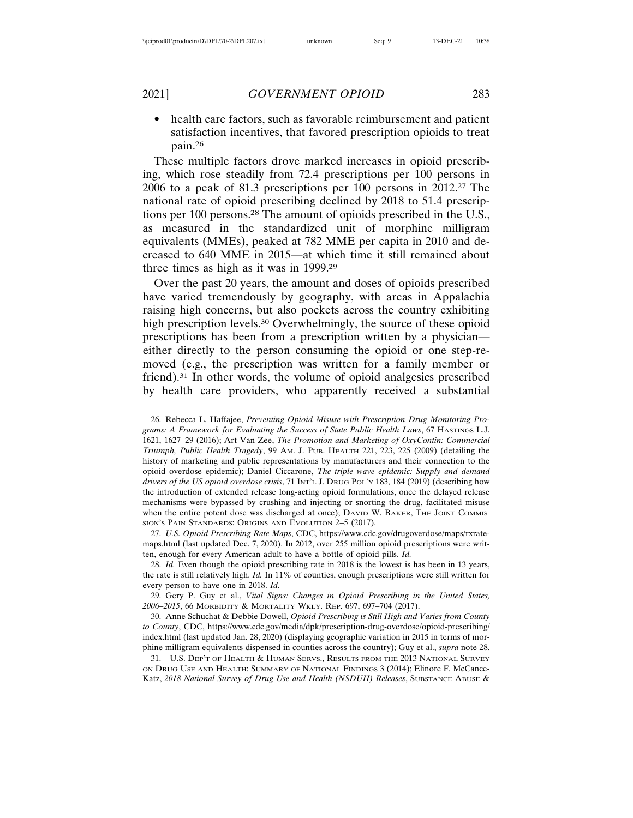• health care factors, such as favorable reimbursement and patient satisfaction incentives, that favored prescription opioids to treat pain.26

These multiple factors drove marked increases in opioid prescribing, which rose steadily from 72.4 prescriptions per 100 persons in 2006 to a peak of 81.3 prescriptions per 100 persons in 2012.27 The national rate of opioid prescribing declined by 2018 to 51.4 prescriptions per 100 persons.28 The amount of opioids prescribed in the U.S., as measured in the standardized unit of morphine milligram equivalents (MMEs), peaked at 782 MME per capita in 2010 and decreased to 640 MME in 2015—at which time it still remained about three times as high as it was in 1999.29

Over the past 20 years, the amount and doses of opioids prescribed have varied tremendously by geography, with areas in Appalachia raising high concerns, but also pockets across the country exhibiting high prescription levels.<sup>30</sup> Overwhelmingly, the source of these opioid prescriptions has been from a prescription written by a physician either directly to the person consuming the opioid or one step-removed (e.g., the prescription was written for a family member or friend).31 In other words, the volume of opioid analgesics prescribed by health care providers, who apparently received a substantial

27. *U.S. Opioid Prescribing Rate Maps*, CDC, https://www.cdc.gov/drugoverdose/maps/rxratemaps.html (last updated Dec. 7, 2020). In 2012, over 255 million opioid prescriptions were written, enough for every American adult to have a bottle of opioid pills. *Id.*

28. *Id.* Even though the opioid prescribing rate in 2018 is the lowest is has been in 13 years, the rate is still relatively high. *Id.* In 11% of counties, enough prescriptions were still written for every person to have one in 2018. *Id.*

29. Gery P. Guy et al., *Vital Signs: Changes in Opioid Prescribing in the United States, 2006–2015*, 66 MORBIDITY & MORTALITY WKLY. REP. 697, 697–704 (2017).

30. Anne Schuchat & Debbie Dowell, *Opioid Prescribing is Still High and Varies from County to County*, CDC, https://www.cdc.gov/media/dpk/prescription-drug-overdose/opioid-prescribing/ index.html (last updated Jan. 28, 2020) (displaying geographic variation in 2015 in terms of morphine milligram equivalents dispensed in counties across the country); Guy et al., *supra* note 28.

31. U.S. DEP'T OF HEALTH & HUMAN SERVS., RESULTS FROM THE 2013 NATIONAL SURVEY ON DRUG USE AND HEALTH: SUMMARY OF NATIONAL FINDINGS 3 (2014); Elinore F. McCance-Katz, 2018 National Survey of Drug Use and Health (NSDUH) Releases, SUBSTANCE ABUSE &

<sup>26.</sup> Rebecca L. Haffajee, *Preventing Opioid Misuse with Prescription Drug Monitoring Pro*grams: A Framework for Evaluating the Success of State Public Health Laws, 67 HASTINGS L.J. 1621, 1627–29 (2016); Art Van Zee, *The Promotion and Marketing of OxyContin: Commercial Triumph, Public Health Tragedy*, 99 AM. J. PUB. HEALTH 221, 223, 225 (2009) (detailing the history of marketing and public representations by manufacturers and their connection to the opioid overdose epidemic); Daniel Ciccarone, *The triple wave epidemic: Supply and demand drivers of the US opioid overdose crisis*, 71 INT'L J. DRUG POL'Y 183, 184 (2019) (describing how the introduction of extended release long-acting opioid formulations, once the delayed release mechanisms were bypassed by crushing and injecting or snorting the drug, facilitated misuse when the entire potent dose was discharged at once); DAVID W. BAKER, THE JOINT COMMIS-SION'S PAIN STANDARDS: ORIGINS AND EVOLUTION 2–5 (2017).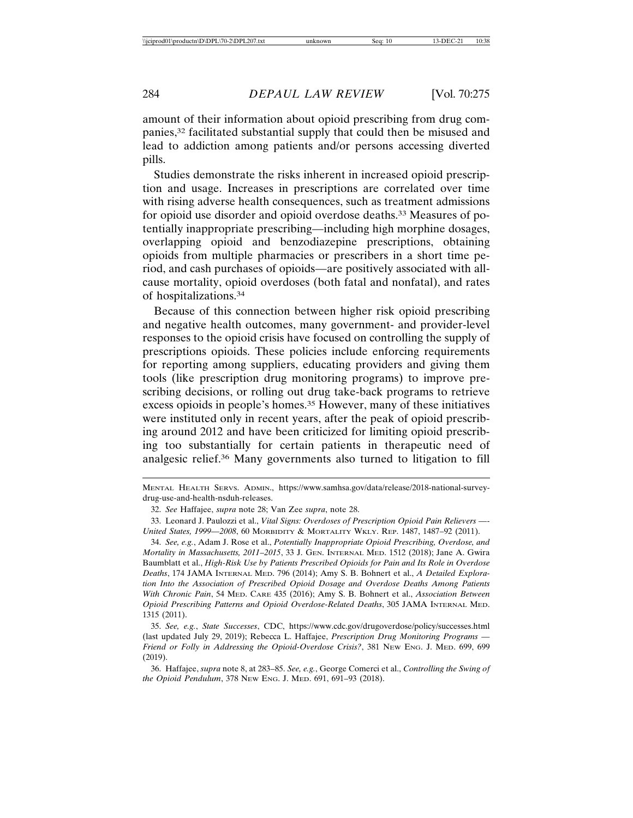amount of their information about opioid prescribing from drug companies,32 facilitated substantial supply that could then be misused and lead to addiction among patients and/or persons accessing diverted pills.

Studies demonstrate the risks inherent in increased opioid prescription and usage. Increases in prescriptions are correlated over time with rising adverse health consequences, such as treatment admissions for opioid use disorder and opioid overdose deaths.33 Measures of potentially inappropriate prescribing—including high morphine dosages, overlapping opioid and benzodiazepine prescriptions, obtaining opioids from multiple pharmacies or prescribers in a short time period, and cash purchases of opioids—are positively associated with allcause mortality, opioid overdoses (both fatal and nonfatal), and rates of hospitalizations.34

Because of this connection between higher risk opioid prescribing and negative health outcomes, many government- and provider-level responses to the opioid crisis have focused on controlling the supply of prescriptions opioids. These policies include enforcing requirements for reporting among suppliers, educating providers and giving them tools (like prescription drug monitoring programs) to improve prescribing decisions, or rolling out drug take-back programs to retrieve excess opioids in people's homes.35 However, many of these initiatives were instituted only in recent years, after the peak of opioid prescribing around 2012 and have been criticized for limiting opioid prescribing too substantially for certain patients in therapeutic need of analgesic relief.36 Many governments also turned to litigation to fill

MENTAL HEALTH SERVS. ADMIN., https://www.samhsa.gov/data/release/2018-national-surveydrug-use-and-health-nsduh-releases.

<sup>32.</sup> *See* Haffajee, *supra* note 28; Van Zee *supra*, note 28.

<sup>33.</sup> Leonard J. Paulozzi et al., *Vital Signs: Overdoses of Prescription Opioid Pain Relievers —- United States, 1999—2008*, 60 MORBIDITY & MORTALITY WKLY. REP. 1487, 1487–92 (2011).

<sup>34.</sup> *See, e.g.*, Adam J. Rose et al., *Potentially Inappropriate Opioid Prescribing, Overdose, and Mortality in Massachusetts, 2011–2015*, 33 J. GEN. INTERNAL MED. 1512 (2018); Jane A. Gwira Baumblatt et al., *High-Risk Use by Patients Prescribed Opioids for Pain and Its Role in Overdose Deaths*, 174 JAMA INTERNAL MED. 796 (2014); Amy S. B. Bohnert et al., *A Detailed Exploration Into the Association of Prescribed Opioid Dosage and Overdose Deaths Among Patients With Chronic Pain*, 54 MED. CARE 435 (2016); Amy S. B. Bohnert et al., *Association Between Opioid Prescribing Patterns and Opioid Overdose-Related Deaths*, 305 JAMA INTERNAL MED. 1315 (2011).

<sup>35.</sup> *See, e.g.*, *State Successes*, CDC, https://www.cdc.gov/drugoverdose/policy/successes.html (last updated July 29, 2019); Rebecca L. Haffajee, *Prescription Drug Monitoring Programs — Friend or Folly in Addressing the Opioid-Overdose Crisis?*, 381 NEW ENG. J. MED. 699, 699 (2019).

<sup>36.</sup> Haffajee, *supra* note 8, at 283–85. *See, e.g.*, George Comerci et al., *Controlling the Swing of the Opioid Pendulum*, 378 NEW ENG. J. MED. 691, 691–93 (2018).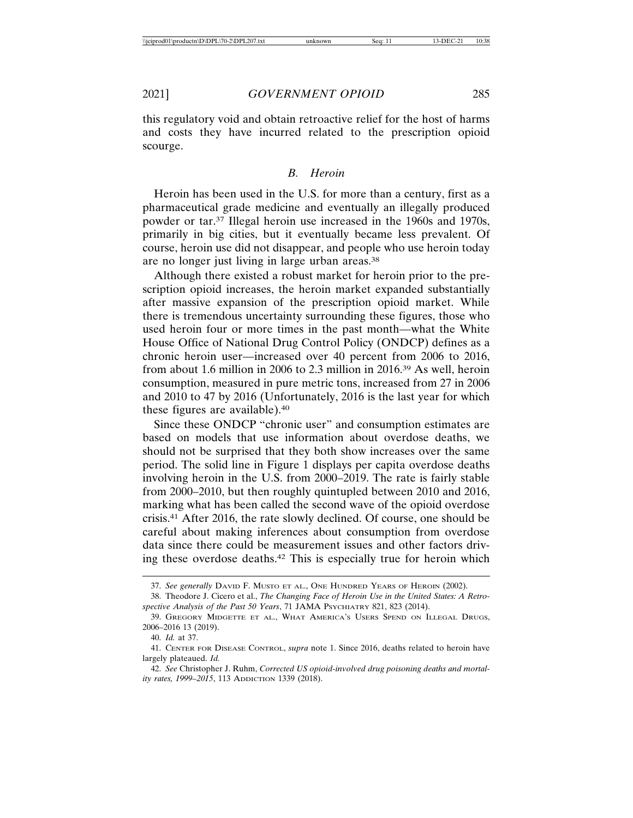this regulatory void and obtain retroactive relief for the host of harms and costs they have incurred related to the prescription opioid scourge.

#### *B. Heroin*

Heroin has been used in the U.S. for more than a century, first as a pharmaceutical grade medicine and eventually an illegally produced powder or tar.37 Illegal heroin use increased in the 1960s and 1970s, primarily in big cities, but it eventually became less prevalent. Of course, heroin use did not disappear, and people who use heroin today are no longer just living in large urban areas.38

Although there existed a robust market for heroin prior to the prescription opioid increases, the heroin market expanded substantially after massive expansion of the prescription opioid market. While there is tremendous uncertainty surrounding these figures, those who used heroin four or more times in the past month—what the White House Office of National Drug Control Policy (ONDCP) defines as a chronic heroin user—increased over 40 percent from 2006 to 2016, from about 1.6 million in 2006 to 2.3 million in 2016.39 As well, heroin consumption, measured in pure metric tons, increased from 27 in 2006 and 2010 to 47 by 2016 (Unfortunately, 2016 is the last year for which these figures are available).40

Since these ONDCP "chronic user" and consumption estimates are based on models that use information about overdose deaths, we should not be surprised that they both show increases over the same period. The solid line in Figure 1 displays per capita overdose deaths involving heroin in the U.S. from 2000–2019. The rate is fairly stable from 2000–2010, but then roughly quintupled between 2010 and 2016, marking what has been called the second wave of the opioid overdose crisis.41 After 2016, the rate slowly declined. Of course, one should be careful about making inferences about consumption from overdose data since there could be measurement issues and other factors driving these overdose deaths.42 This is especially true for heroin which

<sup>37.</sup> *See generally* DAVID F. MUSTO ET AL., ONE HUNDRED YEARS OF HEROIN (2002).

<sup>38.</sup> Theodore J. Cicero et al., *The Changing Face of Heroin Use in the United States: A Retrospective Analysis of the Past 50 Years*, 71 JAMA PSYCHIATRY 821, 823 (2014).

<sup>39.</sup> GREGORY MIDGETTE ET AL., WHAT AMERICA'S USERS SPEND ON ILLEGAL DRUGS, 2006–2016 13 (2019).

<sup>40.</sup> *Id.* at 37.

<sup>41.</sup> CENTER FOR DISEASE CONTROL, *supra* note 1. Since 2016, deaths related to heroin have largely plateaued. *Id.*

<sup>42.</sup> *See* Christopher J. Ruhm, *Corrected US opioid-involved drug poisoning deaths and mortality rates, 1999–2015*, 113 ADDICTION 1339 (2018).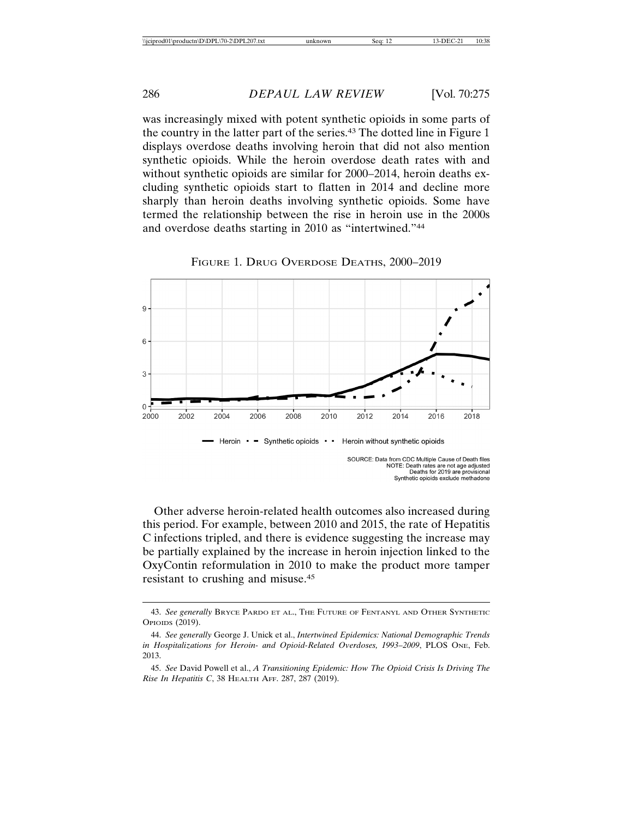was increasingly mixed with potent synthetic opioids in some parts of the country in the latter part of the series.43 The dotted line in Figure 1 displays overdose deaths involving heroin that did not also mention synthetic opioids. While the heroin overdose death rates with and without synthetic opioids are similar for 2000–2014, heroin deaths excluding synthetic opioids start to flatten in 2014 and decline more sharply than heroin deaths involving synthetic opioids. Some have termed the relationship between the rise in heroin use in the 2000s and overdose deaths starting in 2010 as "intertwined."44



FIGURE 1. DRUG OVERDOSE DEATHS, 2000–2019

Other adverse heroin-related health outcomes also increased during this period. For example, between 2010 and 2015, the rate of Hepatitis C infections tripled, and there is evidence suggesting the increase may be partially explained by the increase in heroin injection linked to the OxyContin reformulation in 2010 to make the product more tamper resistant to crushing and misuse.45

<sup>43.</sup> *See generally* BRYCE PARDO ET AL., THE FUTURE OF FENTANYL AND OTHER SYNTHETIC OPIOIDS (2019).

<sup>44.</sup> *See generally* George J. Unick et al., *Intertwined Epidemics: National Demographic Trends in Hospitalizations for Heroin- and Opioid-Related Overdoses, 1993–2009*, PLOS ONE, Feb. 2013.

<sup>45.</sup> *See* David Powell et al., *A Transitioning Epidemic: How The Opioid Crisis Is Driving The Rise In Hepatitis C*, 38 HEALTH AFF. 287, 287 (2019).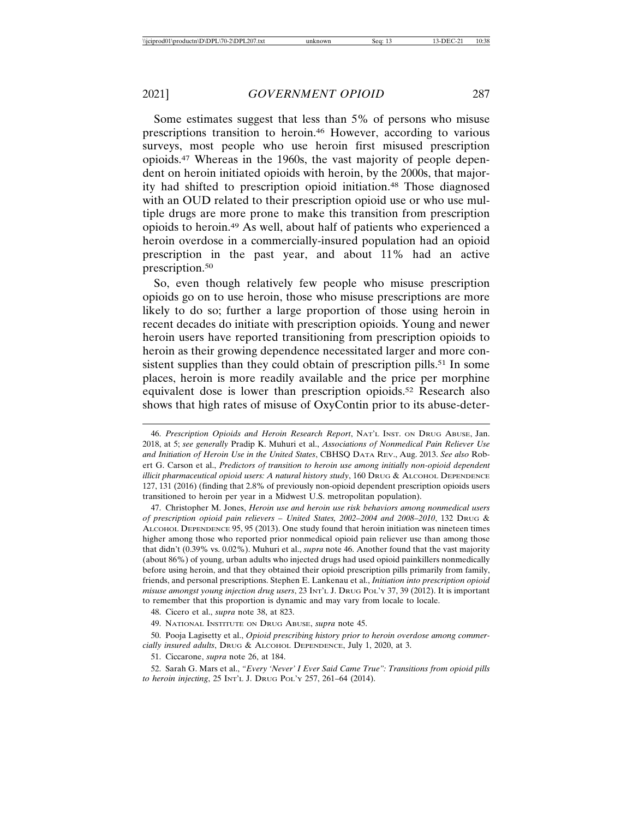Some estimates suggest that less than 5% of persons who misuse prescriptions transition to heroin.46 However, according to various surveys, most people who use heroin first misused prescription opioids.47 Whereas in the 1960s, the vast majority of people dependent on heroin initiated opioids with heroin, by the 2000s, that majority had shifted to prescription opioid initiation.48 Those diagnosed with an OUD related to their prescription opioid use or who use multiple drugs are more prone to make this transition from prescription opioids to heroin.49 As well, about half of patients who experienced a heroin overdose in a commercially-insured population had an opioid prescription in the past year, and about 11% had an active prescription.50

So, even though relatively few people who misuse prescription opioids go on to use heroin, those who misuse prescriptions are more likely to do so; further a large proportion of those using heroin in recent decades do initiate with prescription opioids. Young and newer heroin users have reported transitioning from prescription opioids to heroin as their growing dependence necessitated larger and more consistent supplies than they could obtain of prescription pills.<sup>51</sup> In some places, heroin is more readily available and the price per morphine equivalent dose is lower than prescription opioids.52 Research also shows that high rates of misuse of OxyContin prior to its abuse-deter-

46. *Prescription Opioids and Heroin Research Report*, NAT'L INST. ON DRUG ABUSE, Jan. 2018, at 5; *see generally* Pradip K. Muhuri et al., *Associations of Nonmedical Pain Reliever Use and Initiation of Heroin Use in the United States*, CBHSQ DATA REV., Aug. 2013. *See also* Robert G. Carson et al., *Predictors of transition to heroin use among initially non-opioid dependent illicit pharmaceutical opioid users: A natural history study*, 160 DRUG & ALCOHOL DEPENDENCE 127, 131 (2016) (finding that 2.8% of previously non-opioid dependent prescription opioids users transitioned to heroin per year in a Midwest U.S. metropolitan population).

47. Christopher M. Jones, *Heroin use and heroin use risk behaviors among nonmedical users of prescription opioid pain relievers – United States, 2002–2004 and 2008–2010*, 132 DRUG & ALCOHOL DEPENDENCE 95, 95 (2013). One study found that heroin initiation was nineteen times higher among those who reported prior nonmedical opioid pain reliever use than among those that didn't (0.39% vs. 0.02%). Muhuri et al., *supra* note 46. Another found that the vast majority (about 86%) of young, urban adults who injected drugs had used opioid painkillers nonmedically before using heroin, and that they obtained their opioid prescription pills primarily from family, friends, and personal prescriptions. Stephen E. Lankenau et al., *Initiation into prescription opioid misuse amongst young injection drug users*, 23 INT'L J. DRUG POL'Y 37, 39 (2012). It is important to remember that this proportion is dynamic and may vary from locale to locale.

48. Cicero et al., *supra* note 38, at 823.

50. Pooja Lagisetty et al., *Opioid prescribing history prior to heroin overdose among commercially insured adults*, DRUG & ALCOHOL DEPENDENCE, July 1, 2020, at 3.

51. Ciccarone, *supra* note 26, at 184.

52. Sarah G. Mars et al., *"Every 'Never' I Ever Said Came True": Transitions from opioid pills to heroin injecting*, 25 INT'L J. DRUG POL'Y 257, 261–64 (2014).

<sup>49.</sup> NATIONAL INSTITUTE ON DRUG ABUSE, *supra* note 45.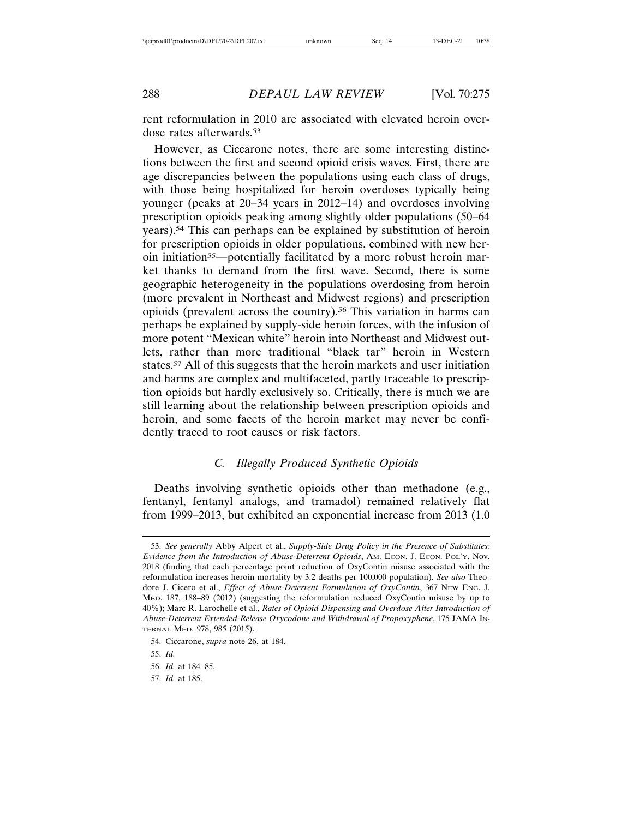rent reformulation in 2010 are associated with elevated heroin overdose rates afterwards.53

However, as Ciccarone notes, there are some interesting distinctions between the first and second opioid crisis waves. First, there are age discrepancies between the populations using each class of drugs, with those being hospitalized for heroin overdoses typically being younger (peaks at 20–34 years in 2012–14) and overdoses involving prescription opioids peaking among slightly older populations (50–64 years).54 This can perhaps can be explained by substitution of heroin for prescription opioids in older populations, combined with new heroin initiation<sup>55</sup>—potentially facilitated by a more robust heroin market thanks to demand from the first wave. Second, there is some geographic heterogeneity in the populations overdosing from heroin (more prevalent in Northeast and Midwest regions) and prescription opioids (prevalent across the country).56 This variation in harms can perhaps be explained by supply-side heroin forces, with the infusion of more potent "Mexican white" heroin into Northeast and Midwest outlets, rather than more traditional "black tar" heroin in Western states.57 All of this suggests that the heroin markets and user initiation and harms are complex and multifaceted, partly traceable to prescription opioids but hardly exclusively so. Critically, there is much we are still learning about the relationship between prescription opioids and heroin, and some facets of the heroin market may never be confidently traced to root causes or risk factors.

#### *C. Illegally Produced Synthetic Opioids*

Deaths involving synthetic opioids other than methadone (e.g., fentanyl, fentanyl analogs, and tramadol) remained relatively flat from 1999–2013, but exhibited an exponential increase from 2013 (1.0

57. *Id.* at 185.

<sup>53.</sup> *See generally* Abby Alpert et al., *Supply-Side Drug Policy in the Presence of Substitutes: Evidence from the Introduction of Abuse-Deterrent Opioids*, AM. ECON. J. ECON. POL'Y, Nov. 2018 (finding that each percentage point reduction of OxyContin misuse associated with the reformulation increases heroin mortality by 3.2 deaths per 100,000 population). *See also* Theodore J. Cicero et al., *Effect of Abuse-Deterrent Formulation of OxyContin*, 367 NEW ENG. J. MED. 187, 188–89 (2012) (suggesting the reformulation reduced OxyContin misuse by up to 40%); Marc R. Larochelle et al., *Rates of Opioid Dispensing and Overdose After Introduction of Abuse-Deterrent Extended-Release Oxycodone and Withdrawal of Propoxyphene*, 175 JAMA IN-TERNAL MED. 978, 985 (2015).

<sup>54.</sup> Ciccarone, *supra* note 26, at 184.

<sup>55.</sup> *Id.*

<sup>56.</sup> *Id.* at 184–85.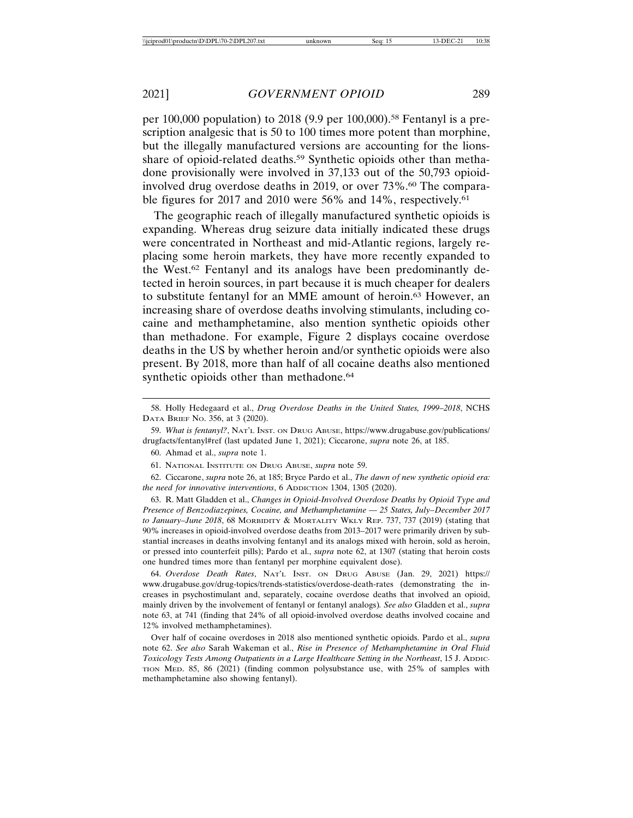per 100,000 population) to 2018 (9.9 per 100,000).<sup>58</sup> Fentanyl is a prescription analgesic that is 50 to 100 times more potent than morphine, but the illegally manufactured versions are accounting for the lionsshare of opioid-related deaths.59 Synthetic opioids other than methadone provisionally were involved in 37,133 out of the 50,793 opioidinvolved drug overdose deaths in 2019, or over 73%.<sup>60</sup> The comparable figures for 2017 and 2010 were 56% and 14%, respectively.<sup>61</sup>

The geographic reach of illegally manufactured synthetic opioids is expanding. Whereas drug seizure data initially indicated these drugs were concentrated in Northeast and mid-Atlantic regions, largely replacing some heroin markets, they have more recently expanded to the West.62 Fentanyl and its analogs have been predominantly detected in heroin sources, in part because it is much cheaper for dealers to substitute fentanyl for an MME amount of heroin.63 However, an increasing share of overdose deaths involving stimulants, including cocaine and methamphetamine, also mention synthetic opioids other than methadone. For example, Figure 2 displays cocaine overdose deaths in the US by whether heroin and/or synthetic opioids were also present. By 2018, more than half of all cocaine deaths also mentioned synthetic opioids other than methadone.<sup>64</sup>

62. Ciccarone, *supra* note 26, at 185; Bryce Pardo et al., *The dawn of new synthetic opioid era: the need for innovative interventions*, 6 ADDICTION 1304, 1305 (2020).

63. R. Matt Gladden et al., *Changes in Opioid-Involved Overdose Deaths by Opioid Type and Presence of Benzodiazepines, Cocaine, and Methamphetamine — 25 States, July–December 2017 to January–June 2018*, 68 MORBIDITY & MORTALITY WKLY REP. 737, 737 (2019) (stating that 90% increases in opioid-involved overdose deaths from 2013–2017 were primarily driven by substantial increases in deaths involving fentanyl and its analogs mixed with heroin, sold as heroin, or pressed into counterfeit pills); Pardo et al., *supra* note 62, at 1307 (stating that heroin costs one hundred times more than fentanyl per morphine equivalent dose).

64. *Overdose Death Rates*, NAT'L INST. ON DRUG ABUSE (Jan. 29, 2021) https:// www.drugabuse.gov/drug-topics/trends-statistics/overdose-death-rates (demonstrating the increases in psychostimulant and, separately, cocaine overdose deaths that involved an opioid, mainly driven by the involvement of fentanyl or fentanyl analogs)*. See also* Gladden et al., *supra* note 63, at 741 (finding that 24% of all opioid-involved overdose deaths involved cocaine and 12% involved methamphetamines).

Over half of cocaine overdoses in 2018 also mentioned synthetic opioids. Pardo et al., *supra* note 62. *See also* Sarah Wakeman et al., *Rise in Presence of Methamphetamine in Oral Fluid Toxicology Tests Among Outpatients in a Large Healthcare Setting in the Northeast*, 15 J. ADDIC-TION MED. 85, 86 (2021) (finding common polysubstance use, with 25% of samples with methamphetamine also showing fentanyl).

<sup>58.</sup> Holly Hedegaard et al., *Drug Overdose Deaths in the United States, 1999–2018*, NCHS DATA BRIEF NO. 356, at 3 (2020).

<sup>59.</sup> *What is fentanyl?*, NAT'L INST. ON DRUG ABUSE, https://www.drugabuse.gov/publications/ drugfacts/fentanyl#ref (last updated June 1, 2021); Ciccarone, *supra* note 26, at 185.

<sup>60.</sup> Ahmad et al., *supra* note 1.

<sup>61.</sup> NATIONAL INSTITUTE ON DRUG ABUSE, *supra* note 59.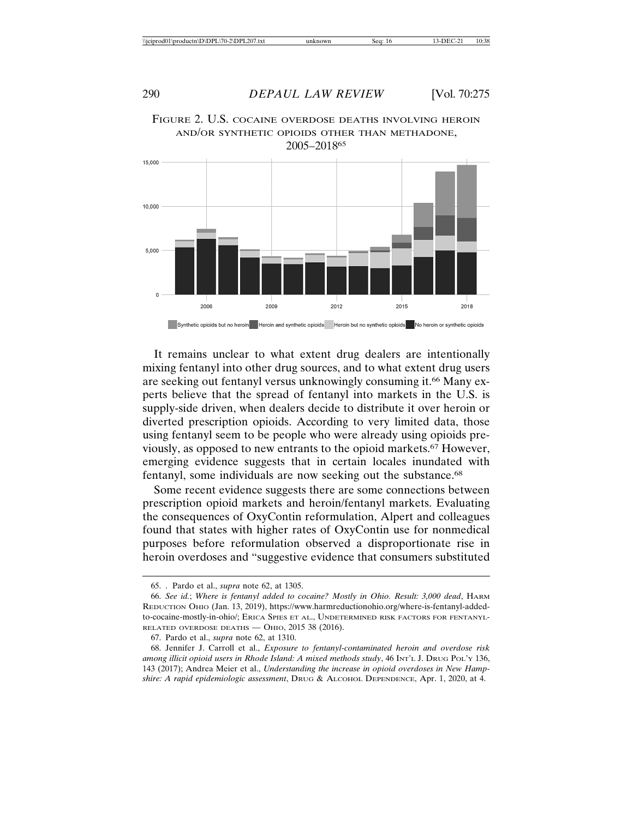

FIGURE 2. U.S. COCAINE OVERDOSE DEATHS INVOLVING HEROIN AND/OR SYNTHETIC OPIOIDS OTHER THAN METHADONE, 2005–201865

It remains unclear to what extent drug dealers are intentionally mixing fentanyl into other drug sources, and to what extent drug users are seeking out fentanyl versus unknowingly consuming it.66 Many experts believe that the spread of fentanyl into markets in the U.S. is supply-side driven, when dealers decide to distribute it over heroin or diverted prescription opioids. According to very limited data, those using fentanyl seem to be people who were already using opioids previously, as opposed to new entrants to the opioid markets.67 However, emerging evidence suggests that in certain locales inundated with fentanyl, some individuals are now seeking out the substance.68

Some recent evidence suggests there are some connections between prescription opioid markets and heroin/fentanyl markets. Evaluating the consequences of OxyContin reformulation, Alpert and colleagues found that states with higher rates of OxyContin use for nonmedical purposes before reformulation observed a disproportionate rise in heroin overdoses and "suggestive evidence that consumers substituted

<sup>65. .</sup> Pardo et al., *supra* note 62, at 1305.

<sup>66.</sup> *See id.*; *Where is fentanyl added to cocaine? Mostly in Ohio. Result: 3,000 dead*, HARM REDUCTION OHIO (Jan. 13, 2019), https://www.harmreductionohio.org/where-is-fentanyl-addedto-cocaine-mostly-in-ohio/; ERICA SPIES ET AL., UNDETERMINED RISK FACTORS FOR FENTANYL-RELATED OVERDOSE DEATHS — OHIO, 2015 38 (2016).

<sup>67.</sup> Pardo et al., *supra* note 62, at 1310.

<sup>68.</sup> Jennifer J. Carroll et al., *Exposure to fentanyl-contaminated heroin and overdose risk among illicit opioid users in Rhode Island: A mixed methods study*, 46 INT'L J. DRUG POL'Y 136, 143 (2017); Andrea Meier et al., *Understanding the increase in opioid overdoses in New Hampshire: A rapid epidemiologic assessment*, DRUG & ALCOHOL DEPENDENCE, Apr. 1, 2020, at 4.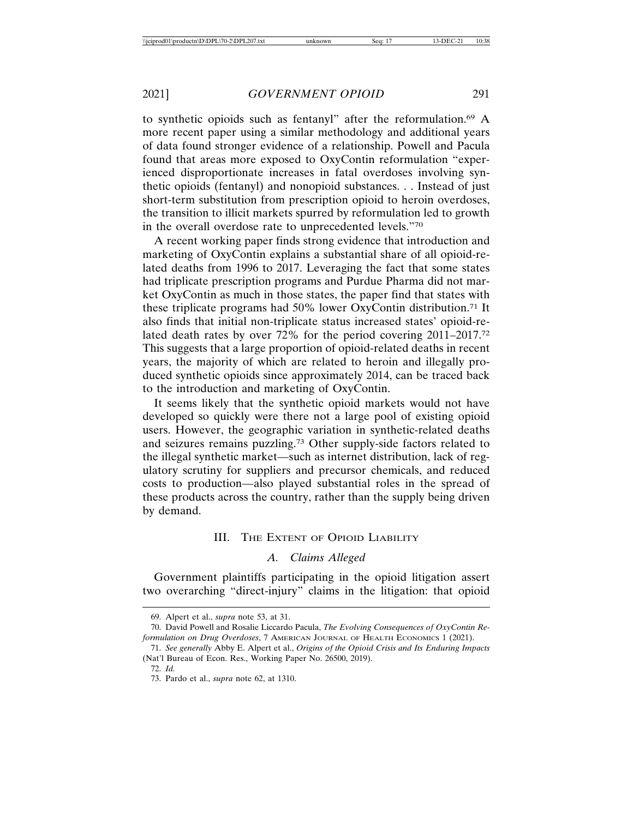to synthetic opioids such as fentanyl" after the reformulation.69 A more recent paper using a similar methodology and additional years of data found stronger evidence of a relationship. Powell and Pacula found that areas more exposed to OxyContin reformulation "experienced disproportionate increases in fatal overdoses involving synthetic opioids (fentanyl) and nonopioid substances. . . Instead of just short-term substitution from prescription opioid to heroin overdoses, the transition to illicit markets spurred by reformulation led to growth in the overall overdose rate to unprecedented levels."70

A recent working paper finds strong evidence that introduction and marketing of OxyContin explains a substantial share of all opioid-related deaths from 1996 to 2017. Leveraging the fact that some states had triplicate prescription programs and Purdue Pharma did not market OxyContin as much in those states, the paper find that states with these triplicate programs had 50% lower OxyContin distribution.71 It also finds that initial non-triplicate status increased states' opioid-related death rates by over 72% for the period covering 2011–2017.72 This suggests that a large proportion of opioid-related deaths in recent years, the majority of which are related to heroin and illegally produced synthetic opioids since approximately 2014, can be traced back to the introduction and marketing of OxyContin.

It seems likely that the synthetic opioid markets would not have developed so quickly were there not a large pool of existing opioid users. However, the geographic variation in synthetic-related deaths and seizures remains puzzling.73 Other supply-side factors related to the illegal synthetic market—such as internet distribution, lack of regulatory scrutiny for suppliers and precursor chemicals, and reduced costs to production—also played substantial roles in the spread of these products across the country, rather than the supply being driven by demand.

## III. THE EXTENT OF OPIOID LIABILITY

# *A. Claims Alleged*

Government plaintiffs participating in the opioid litigation assert two overarching "direct-injury" claims in the litigation: that opioid

<sup>69.</sup> Alpert et al., *supra* note 53, at 31.

<sup>70.</sup> David Powell and Rosalie Liccardo Pacula, *The Evolving Consequences of OxyContin Reformulation on Drug Overdoses*, 7 AMERICAN JOURNAL OF HEALTH ECONOMICS 1 (2021).

<sup>71.</sup> *See generally* Abby E. Alpert et al., *Origins of the Opioid Crisis and Its Enduring Impacts* (Nat'l Bureau of Econ. Res., Working Paper No. 26500, 2019).

<sup>72.</sup> *Id.*

<sup>73.</sup> Pardo et al., *supra* note 62, at 1310.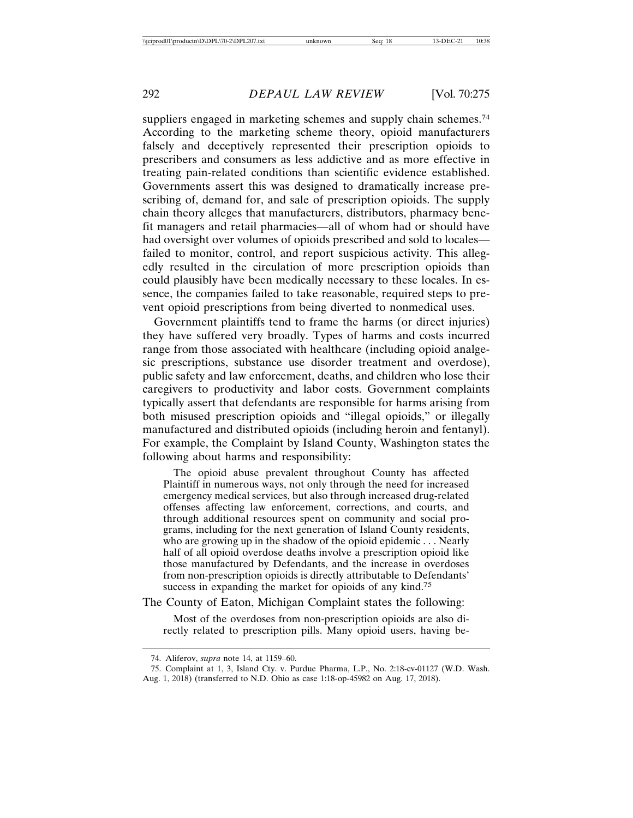suppliers engaged in marketing schemes and supply chain schemes.<sup>74</sup> According to the marketing scheme theory, opioid manufacturers falsely and deceptively represented their prescription opioids to prescribers and consumers as less addictive and as more effective in treating pain-related conditions than scientific evidence established. Governments assert this was designed to dramatically increase prescribing of, demand for, and sale of prescription opioids. The supply chain theory alleges that manufacturers, distributors, pharmacy benefit managers and retail pharmacies—all of whom had or should have had oversight over volumes of opioids prescribed and sold to locales failed to monitor, control, and report suspicious activity. This allegedly resulted in the circulation of more prescription opioids than could plausibly have been medically necessary to these locales. In essence, the companies failed to take reasonable, required steps to prevent opioid prescriptions from being diverted to nonmedical uses.

Government plaintiffs tend to frame the harms (or direct injuries) they have suffered very broadly. Types of harms and costs incurred range from those associated with healthcare (including opioid analgesic prescriptions, substance use disorder treatment and overdose), public safety and law enforcement, deaths, and children who lose their caregivers to productivity and labor costs. Government complaints typically assert that defendants are responsible for harms arising from both misused prescription opioids and "illegal opioids," or illegally manufactured and distributed opioids (including heroin and fentanyl). For example, the Complaint by Island County, Washington states the following about harms and responsibility:

The opioid abuse prevalent throughout County has affected Plaintiff in numerous ways, not only through the need for increased emergency medical services, but also through increased drug-related offenses affecting law enforcement, corrections, and courts, and through additional resources spent on community and social programs, including for the next generation of Island County residents, who are growing up in the shadow of the opioid epidemic . . . Nearly half of all opioid overdose deaths involve a prescription opioid like those manufactured by Defendants, and the increase in overdoses from non-prescription opioids is directly attributable to Defendants' success in expanding the market for opioids of any kind.<sup>75</sup>

The County of Eaton, Michigan Complaint states the following:

Most of the overdoses from non-prescription opioids are also directly related to prescription pills. Many opioid users, having be-

<sup>74.</sup> Aliferov, *supra* note 14, at 1159–60.

<sup>75.</sup> Complaint at 1, 3, Island Cty. v. Purdue Pharma, L.P., No. 2:18-cv-01127 (W.D. Wash.

Aug. 1, 2018) (transferred to N.D. Ohio as case 1:18-op-45982 on Aug. 17, 2018).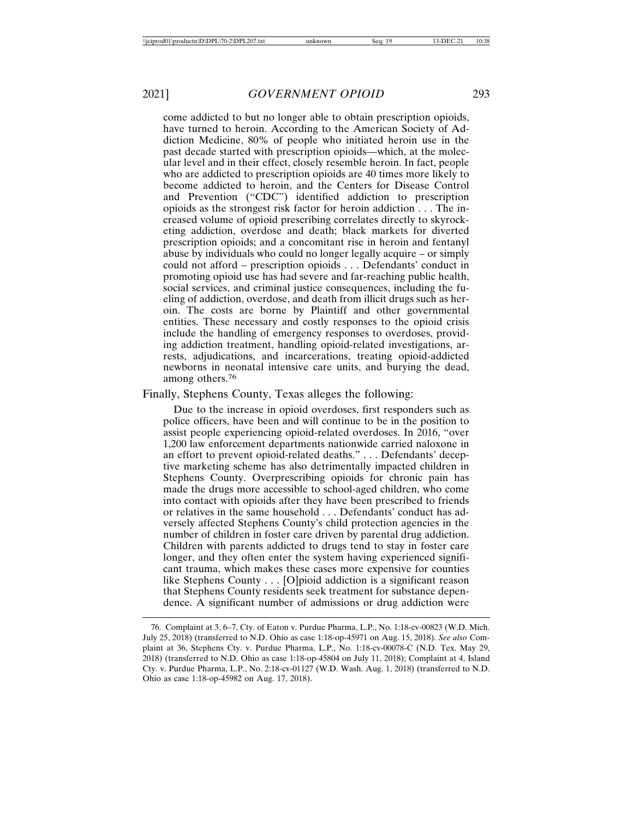come addicted to but no longer able to obtain prescription opioids, have turned to heroin. According to the American Society of Addiction Medicine, 80% of people who initiated heroin use in the past decade started with prescription opioids—which, at the molecular level and in their effect, closely resemble heroin. In fact, people who are addicted to prescription opioids are 40 times more likely to become addicted to heroin, and the Centers for Disease Control and Prevention ("CDC") identified addiction to prescription opioids as the strongest risk factor for heroin addiction . . . The increased volume of opioid prescribing correlates directly to skyrocketing addiction, overdose and death; black markets for diverted prescription opioids; and a concomitant rise in heroin and fentanyl abuse by individuals who could no longer legally acquire – or simply could not afford – prescription opioids . . . Defendants' conduct in promoting opioid use has had severe and far-reaching public health, social services, and criminal justice consequences, including the fueling of addiction, overdose, and death from illicit drugs such as heroin. The costs are borne by Plaintiff and other governmental entities. These necessary and costly responses to the opioid crisis include the handling of emergency responses to overdoses, providing addiction treatment, handling opioid-related investigations, arrests, adjudications, and incarcerations, treating opioid-addicted newborns in neonatal intensive care units, and burying the dead, among others.76

Finally, Stephens County, Texas alleges the following:

Due to the increase in opioid overdoses, first responders such as police officers, have been and will continue to be in the position to assist people experiencing opioid-related overdoses. In 2016, "over 1,200 law enforcement departments nationwide carried naloxone in an effort to prevent opioid-related deaths." . . . Defendants' deceptive marketing scheme has also detrimentally impacted children in Stephens County. Overprescribing opioids for chronic pain has made the drugs more accessible to school-aged children, who come into contact with opioids after they have been prescribed to friends or relatives in the same household . . . Defendants' conduct has adversely affected Stephens County's child protection agencies in the number of children in foster care driven by parental drug addiction. Children with parents addicted to drugs tend to stay in foster care longer, and they often enter the system having experienced significant trauma, which makes these cases more expensive for counties like Stephens County . . . [O]pioid addiction is a significant reason that Stephens County residents seek treatment for substance dependence. A significant number of admissions or drug addiction were

<sup>76.</sup> Complaint at 3, 6–7, Cty. of Eaton v. Purdue Pharma, L.P., No. 1:18-cv-00823 (W.D. Mich. July 25, 2018) (transferred to N.D. Ohio as case 1:18-op-45971 on Aug. 15, 2018). *See also* Complaint at 36, Stephens Cty. v. Purdue Pharma, L.P., No. 1:18-cv-00078-C (N.D. Tex. May 29, 2018) (transferred to N.D. Ohio as case 1:18-op-45804 on July 11, 2018); Complaint at 4, Island Cty. v. Purdue Pharma, L.P., No. 2:18-cv-01127 (W.D. Wash. Aug. 1, 2018) (transferred to N.D. Ohio as case 1:18-op-45982 on Aug. 17, 2018).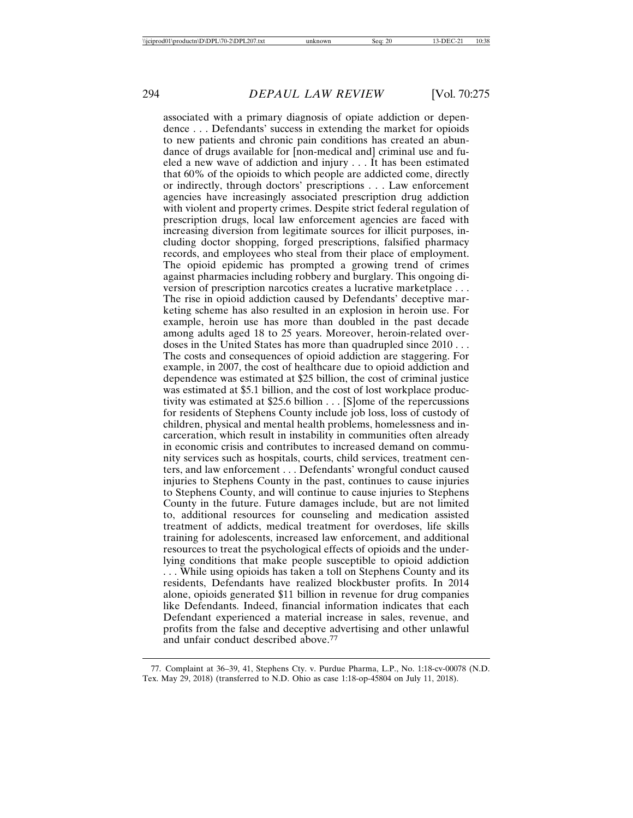associated with a primary diagnosis of opiate addiction or dependence . . . Defendants' success in extending the market for opioids to new patients and chronic pain conditions has created an abundance of drugs available for [non-medical and] criminal use and fueled a new wave of addiction and injury . . . It has been estimated that 60% of the opioids to which people are addicted come, directly or indirectly, through doctors' prescriptions . . . Law enforcement agencies have increasingly associated prescription drug addiction with violent and property crimes. Despite strict federal regulation of prescription drugs, local law enforcement agencies are faced with increasing diversion from legitimate sources for illicit purposes, including doctor shopping, forged prescriptions, falsified pharmacy records, and employees who steal from their place of employment. The opioid epidemic has prompted a growing trend of crimes against pharmacies including robbery and burglary. This ongoing diversion of prescription narcotics creates a lucrative marketplace . . . The rise in opioid addiction caused by Defendants' deceptive marketing scheme has also resulted in an explosion in heroin use. For example, heroin use has more than doubled in the past decade among adults aged 18 to 25 years. Moreover, heroin-related overdoses in the United States has more than quadrupled since 2010 . . . The costs and consequences of opioid addiction are staggering. For example, in 2007, the cost of healthcare due to opioid addiction and dependence was estimated at \$25 billion, the cost of criminal justice was estimated at \$5.1 billion, and the cost of lost workplace productivity was estimated at \$25.6 billion . . . [S]ome of the repercussions for residents of Stephens County include job loss, loss of custody of children, physical and mental health problems, homelessness and incarceration, which result in instability in communities often already in economic crisis and contributes to increased demand on community services such as hospitals, courts, child services, treatment centers, and law enforcement . . . Defendants' wrongful conduct caused injuries to Stephens County in the past, continues to cause injuries to Stephens County, and will continue to cause injuries to Stephens County in the future. Future damages include, but are not limited to, additional resources for counseling and medication assisted treatment of addicts, medical treatment for overdoses, life skills training for adolescents, increased law enforcement, and additional resources to treat the psychological effects of opioids and the underlying conditions that make people susceptible to opioid addiction . . . While using opioids has taken a toll on Stephens County and its residents, Defendants have realized blockbuster profits. In 2014 alone, opioids generated \$11 billion in revenue for drug companies like Defendants. Indeed, financial information indicates that each Defendant experienced a material increase in sales, revenue, and profits from the false and deceptive advertising and other unlawful and unfair conduct described above.77

<sup>77.</sup> Complaint at 36–39, 41, Stephens Cty. v. Purdue Pharma, L.P., No. 1:18-cv-00078 (N.D. Tex. May 29, 2018) (transferred to N.D. Ohio as case 1:18-op-45804 on July 11, 2018).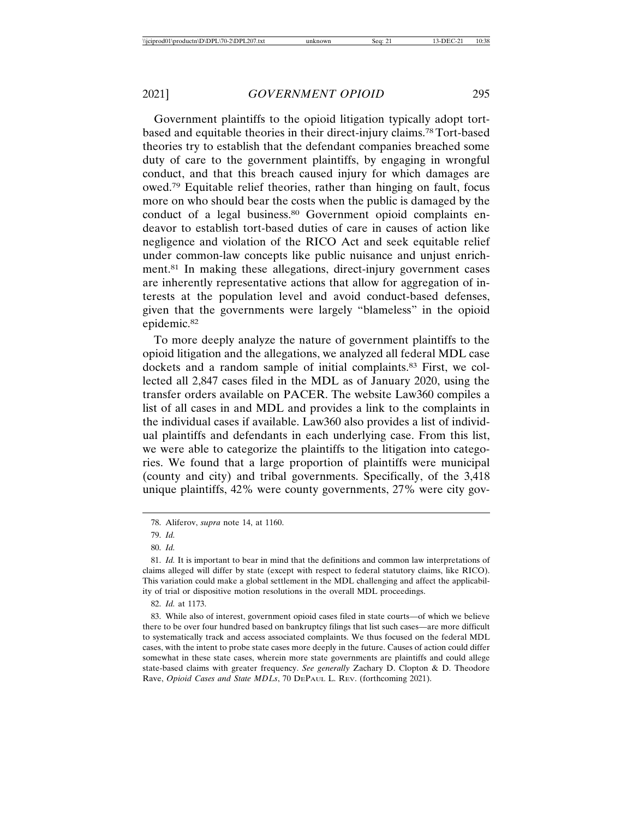Government plaintiffs to the opioid litigation typically adopt tortbased and equitable theories in their direct-injury claims.78 Tort-based theories try to establish that the defendant companies breached some duty of care to the government plaintiffs, by engaging in wrongful conduct, and that this breach caused injury for which damages are owed.79 Equitable relief theories, rather than hinging on fault, focus more on who should bear the costs when the public is damaged by the conduct of a legal business.<sup>80</sup> Government opioid complaints endeavor to establish tort-based duties of care in causes of action like negligence and violation of the RICO Act and seek equitable relief under common-law concepts like public nuisance and unjust enrichment.81 In making these allegations, direct-injury government cases are inherently representative actions that allow for aggregation of interests at the population level and avoid conduct-based defenses, given that the governments were largely "blameless" in the opioid epidemic.82

To more deeply analyze the nature of government plaintiffs to the opioid litigation and the allegations, we analyzed all federal MDL case dockets and a random sample of initial complaints.83 First, we collected all 2,847 cases filed in the MDL as of January 2020, using the transfer orders available on PACER. The website Law360 compiles a list of all cases in and MDL and provides a link to the complaints in the individual cases if available. Law360 also provides a list of individual plaintiffs and defendants in each underlying case. From this list, we were able to categorize the plaintiffs to the litigation into categories. We found that a large proportion of plaintiffs were municipal (county and city) and tribal governments. Specifically, of the 3,418 unique plaintiffs, 42% were county governments, 27% were city gov-

<sup>78.</sup> Aliferov, *supra* note 14, at 1160.

<sup>79.</sup> *Id.*

<sup>80.</sup> *Id.*

<sup>81.</sup> *Id.* It is important to bear in mind that the definitions and common law interpretations of claims alleged will differ by state (except with respect to federal statutory claims, like RICO). This variation could make a global settlement in the MDL challenging and affect the applicability of trial or dispositive motion resolutions in the overall MDL proceedings.

<sup>82.</sup> *Id.* at 1173.

<sup>83.</sup> While also of interest, government opioid cases filed in state courts—of which we believe there to be over four hundred based on bankruptcy filings that list such cases—are more difficult to systematically track and access associated complaints. We thus focused on the federal MDL cases, with the intent to probe state cases more deeply in the future. Causes of action could differ somewhat in these state cases, wherein more state governments are plaintiffs and could allege state-based claims with greater frequency. *See generally* Zachary D. Clopton & D. Theodore Rave, *Opioid Cases and State MDLs*, 70 DEPAUL L. REV. (forthcoming 2021).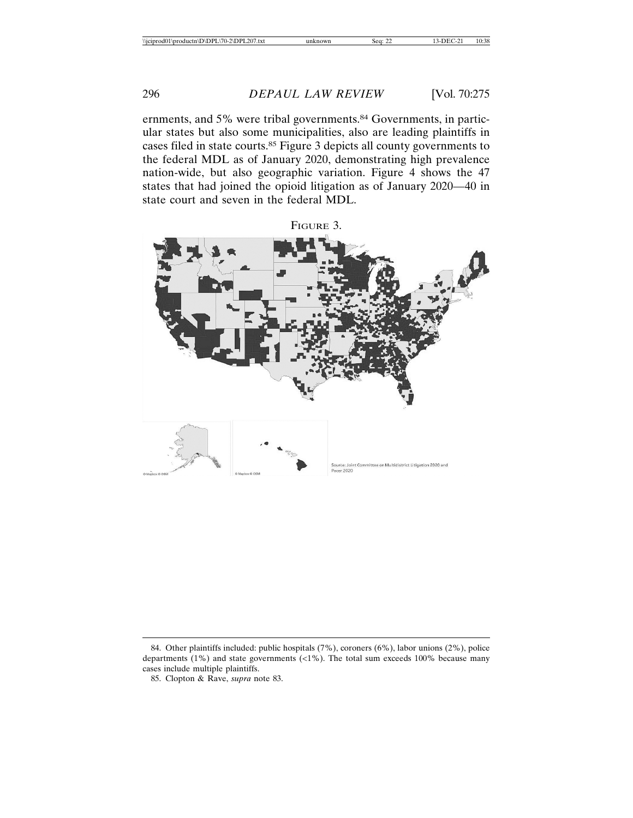ernments, and 5% were tribal governments.<sup>84</sup> Governments, in particular states but also some municipalities, also are leading plaintiffs in cases filed in state courts.85 Figure 3 depicts all county governments to the federal MDL as of January 2020, demonstrating high prevalence nation-wide, but also geographic variation. Figure 4 shows the 47 states that had joined the opioid litigation as of January 2020—40 in state court and seven in the federal MDL.



<sup>84.</sup> Other plaintiffs included: public hospitals (7%), coroners (6%), labor unions (2%), police departments (1%) and state governments (<1%). The total sum exceeds 100% because many cases include multiple plaintiffs.

<sup>85.</sup> Clopton & Rave, *supra* note 83.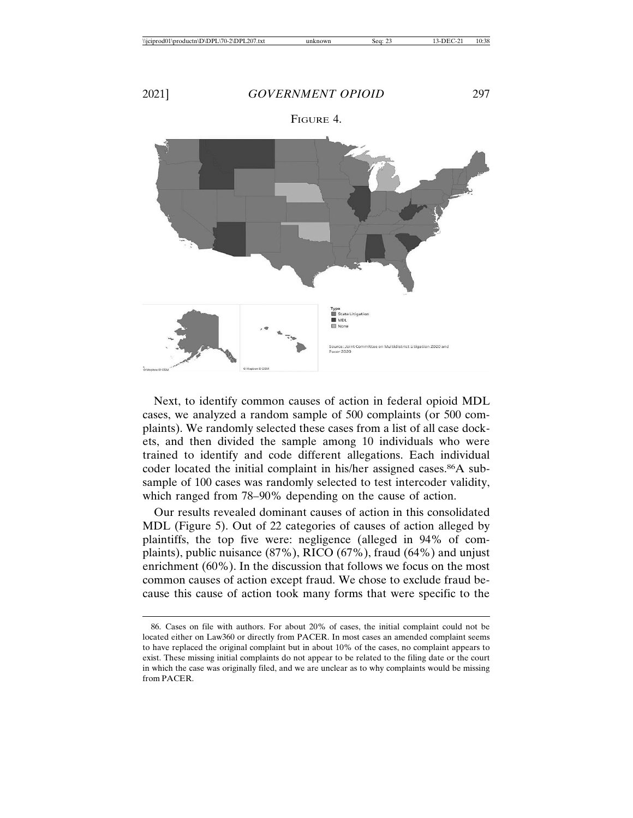

Next, to identify common causes of action in federal opioid MDL cases, we analyzed a random sample of 500 complaints (or 500 complaints). We randomly selected these cases from a list of all case dockets, and then divided the sample among 10 individuals who were trained to identify and code different allegations. Each individual coder located the initial complaint in his/her assigned cases.<sup>86</sup>A subsample of 100 cases was randomly selected to test intercoder validity, which ranged from 78–90% depending on the cause of action.

Our results revealed dominant causes of action in this consolidated MDL (Figure 5). Out of 22 categories of causes of action alleged by plaintiffs, the top five were: negligence (alleged in 94% of complaints), public nuisance (87%), RICO (67%), fraud (64%) and unjust enrichment (60%). In the discussion that follows we focus on the most common causes of action except fraud. We chose to exclude fraud because this cause of action took many forms that were specific to the

<sup>86.</sup> Cases on file with authors. For about 20% of cases, the initial complaint could not be located either on Law360 or directly from PACER. In most cases an amended complaint seems to have replaced the original complaint but in about 10% of the cases, no complaint appears to exist. These missing initial complaints do not appear to be related to the filing date or the court in which the case was originally filed, and we are unclear as to why complaints would be missing from PACER.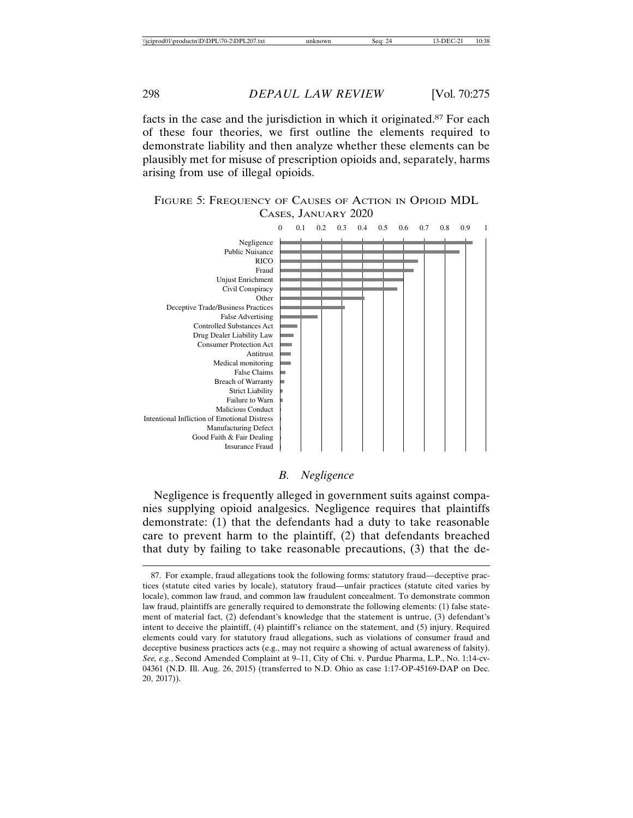facts in the case and the jurisdiction in which it originated.87 For each of these four theories, we first outline the elements required to demonstrate liability and then analyze whether these elements can be plausibly met for misuse of prescription opioids and, separately, harms arising from use of illegal opioids.

## FIGURE 5: FREQUENCY OF CAUSES OF ACTION IN OPIOID MDL CASES, JANUARY 2020



#### *B. Negligence*

Negligence is frequently alleged in government suits against companies supplying opioid analgesics. Negligence requires that plaintiffs demonstrate: (1) that the defendants had a duty to take reasonable care to prevent harm to the plaintiff, (2) that defendants breached that duty by failing to take reasonable precautions, (3) that the de-

<sup>87.</sup> For example, fraud allegations took the following forms: statutory fraud—deceptive practices (statute cited varies by locale), statutory fraud—unfair practices (statute cited varies by locale), common law fraud, and common law fraudulent concealment. To demonstrate common law fraud, plaintiffs are generally required to demonstrate the following elements: (1) false statement of material fact, (2) defendant's knowledge that the statement is untrue, (3) defendant's intent to deceive the plaintiff, (4) plaintiff's reliance on the statement, and (5) injury. Required elements could vary for statutory fraud allegations, such as violations of consumer fraud and deceptive business practices acts (e.g., may not require a showing of actual awareness of falsity). *See, e.g.*, Second Amended Complaint at 9–11, City of Chi. v. Purdue Pharma, L.P., No. 1:14-cv-04361 (N.D. Ill. Aug. 26, 2015) (transferred to N.D. Ohio as case 1:17-OP-45169-DAP on Dec. 20, 2017)).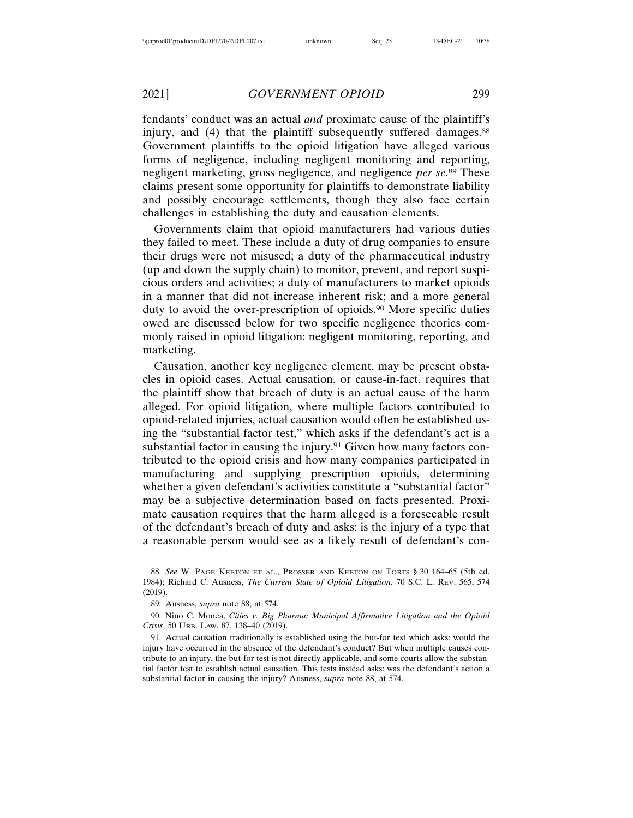fendants' conduct was an actual *and* proximate cause of the plaintiff's injury, and (4) that the plaintiff subsequently suffered damages.<sup>88</sup> Government plaintiffs to the opioid litigation have alleged various forms of negligence, including negligent monitoring and reporting, negligent marketing, gross negligence, and negligence *per se*. 89 These claims present some opportunity for plaintiffs to demonstrate liability and possibly encourage settlements, though they also face certain challenges in establishing the duty and causation elements.

Governments claim that opioid manufacturers had various duties they failed to meet. These include a duty of drug companies to ensure their drugs were not misused; a duty of the pharmaceutical industry (up and down the supply chain) to monitor, prevent, and report suspicious orders and activities; a duty of manufacturers to market opioids in a manner that did not increase inherent risk; and a more general duty to avoid the over-prescription of opioids.<sup>90</sup> More specific duties owed are discussed below for two specific negligence theories commonly raised in opioid litigation: negligent monitoring, reporting, and marketing.

Causation, another key negligence element, may be present obstacles in opioid cases. Actual causation, or cause-in-fact, requires that the plaintiff show that breach of duty is an actual cause of the harm alleged. For opioid litigation, where multiple factors contributed to opioid-related injuries, actual causation would often be established using the "substantial factor test," which asks if the defendant's act is a substantial factor in causing the injury.<sup>91</sup> Given how many factors contributed to the opioid crisis and how many companies participated in manufacturing and supplying prescription opioids, determining whether a given defendant's activities constitute a "substantial factor" may be a subjective determination based on facts presented. Proximate causation requires that the harm alleged is a foreseeable result of the defendant's breach of duty and asks: is the injury of a type that a reasonable person would see as a likely result of defendant's con-

<sup>88.</sup> *See* W. PAGE KEETON ET AL., PROSSER AND KEETON ON TORTS § 30 164–65 (5th ed. 1984); Richard C. Ausness, *The Current State of Opioid Litigation*, 70 S.C. L. REV. 565, 574 (2019).

<sup>89.</sup> Ausness, *supra* note 88, at 574.

<sup>90.</sup> Nino C. Monea, *Cities v. Big Pharma: Municipal Affirmative Litigation and the Opioid Crisis*, 50 URB. LAW. 87, 138–40 (2019).

<sup>91.</sup> Actual causation traditionally is established using the but-for test which asks: would the injury have occurred in the absence of the defendant's conduct? But when multiple causes contribute to an injury, the but-for test is not directly applicable, and some courts allow the substantial factor test to establish actual causation. This tests instead asks: was the defendant's action a substantial factor in causing the injury? Ausness, *supra* note 88, at 574.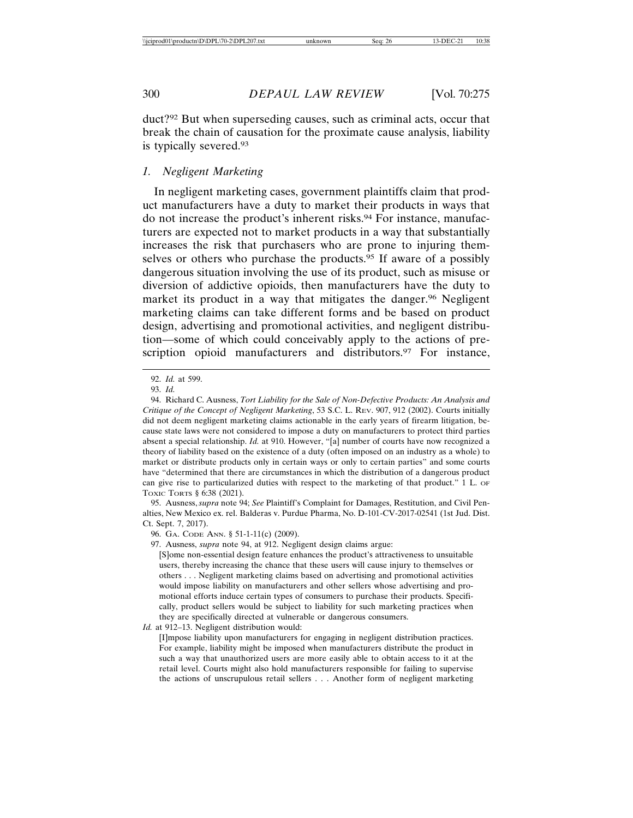duct?92 But when superseding causes, such as criminal acts, occur that break the chain of causation for the proximate cause analysis, liability is typically severed.93

#### *1. Negligent Marketing*

In negligent marketing cases, government plaintiffs claim that product manufacturers have a duty to market their products in ways that do not increase the product's inherent risks.94 For instance, manufacturers are expected not to market products in a way that substantially increases the risk that purchasers who are prone to injuring themselves or others who purchase the products.95 If aware of a possibly dangerous situation involving the use of its product, such as misuse or diversion of addictive opioids, then manufacturers have the duty to market its product in a way that mitigates the danger.<sup>96</sup> Negligent marketing claims can take different forms and be based on product design, advertising and promotional activities, and negligent distribution—some of which could conceivably apply to the actions of prescription opioid manufacturers and distributors.<sup>97</sup> For instance,

95. Ausness, *supra* note 94; *See* Plaintiff's Complaint for Damages, Restitution, and Civil Penalties, New Mexico ex. rel. Balderas v. Purdue Pharma, No. D-101-CV-2017-02541 (1st Jud. Dist. Ct. Sept. 7, 2017).

96. GA. CODE ANN. § 51-1-11(c) (2009).

97. Ausness, *supra* note 94, at 912. Negligent design claims argue:

[S]ome non-essential design feature enhances the product's attractiveness to unsuitable users, thereby increasing the chance that these users will cause injury to themselves or others . . . Negligent marketing claims based on advertising and promotional activities would impose liability on manufacturers and other sellers whose advertising and promotional efforts induce certain types of consumers to purchase their products. Specifically, product sellers would be subject to liability for such marketing practices when they are specifically directed at vulnerable or dangerous consumers.

*Id.* at 912–13. Negligent distribution would:

[I]mpose liability upon manufacturers for engaging in negligent distribution practices. For example, liability might be imposed when manufacturers distribute the product in such a way that unauthorized users are more easily able to obtain access to it at the retail level. Courts might also hold manufacturers responsible for failing to supervise the actions of unscrupulous retail sellers . . . Another form of negligent marketing

<sup>92.</sup> *Id.* at 599.

<sup>93.</sup> *Id.*

<sup>94.</sup> Richard C. Ausness, *Tort Liability for the Sale of Non-Defective Products: An Analysis and Critique of the Concept of Negligent Marketing*, 53 S.C. L. REV. 907, 912 (2002). Courts initially did not deem negligent marketing claims actionable in the early years of firearm litigation, because state laws were not considered to impose a duty on manufacturers to protect third parties absent a special relationship. *Id.* at 910. However, "[a] number of courts have now recognized a theory of liability based on the existence of a duty (often imposed on an industry as a whole) to market or distribute products only in certain ways or only to certain parties" and some courts have "determined that there are circumstances in which the distribution of a dangerous product can give rise to particularized duties with respect to the marketing of that product." 1 L. OF TOXIC TORTS § 6:38 (2021).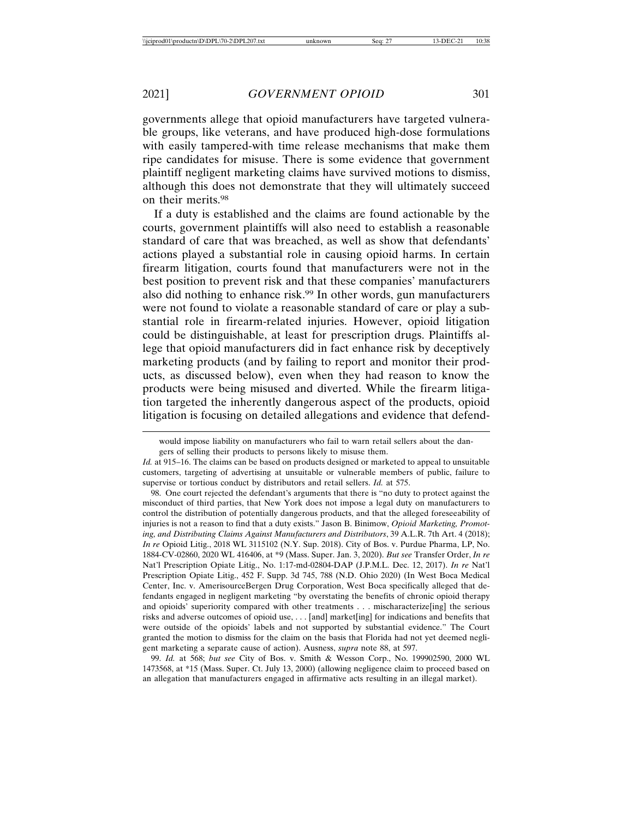governments allege that opioid manufacturers have targeted vulnerable groups, like veterans, and have produced high-dose formulations with easily tampered-with time release mechanisms that make them ripe candidates for misuse. There is some evidence that government plaintiff negligent marketing claims have survived motions to dismiss, although this does not demonstrate that they will ultimately succeed on their merits.98

If a duty is established and the claims are found actionable by the courts, government plaintiffs will also need to establish a reasonable standard of care that was breached, as well as show that defendants' actions played a substantial role in causing opioid harms. In certain firearm litigation, courts found that manufacturers were not in the best position to prevent risk and that these companies' manufacturers also did nothing to enhance risk.99 In other words, gun manufacturers were not found to violate a reasonable standard of care or play a substantial role in firearm-related injuries. However, opioid litigation could be distinguishable, at least for prescription drugs. Plaintiffs allege that opioid manufacturers did in fact enhance risk by deceptively marketing products (and by failing to report and monitor their products, as discussed below), even when they had reason to know the products were being misused and diverted. While the firearm litigation targeted the inherently dangerous aspect of the products, opioid litigation is focusing on detailed allegations and evidence that defend-

98. One court rejected the defendant's arguments that there is "no duty to protect against the misconduct of third parties, that New York does not impose a legal duty on manufacturers to control the distribution of potentially dangerous products, and that the alleged foreseeability of injuries is not a reason to find that a duty exists." Jason B. Binimow, *Opioid Marketing, Promoting, and Distributing Claims Against Manufacturers and Distributors*, 39 A.L.R. 7th Art. 4 (2018); *In re* Opioid Litig., 2018 WL 3115102 (N.Y. Sup. 2018). City of Bos. v. Purdue Pharma, LP, No. 1884-CV-02860, 2020 WL 416406, at \*9 (Mass. Super. Jan. 3, 2020). *But see* Transfer Order, *In re* Nat'l Prescription Opiate Litig., No. 1:17-md-02804-DAP (J.P.M.L. Dec. 12, 2017). *In re* Nat'l Prescription Opiate Litig., 452 F. Supp. 3d 745, 788 (N.D. Ohio 2020) (In West Boca Medical Center, Inc. v. AmerisourceBergen Drug Corporation, West Boca specifically alleged that defendants engaged in negligent marketing "by overstating the benefits of chronic opioid therapy and opioids' superiority compared with other treatments . . . mischaracterize[ing] the serious risks and adverse outcomes of opioid use, . . . [and] market[ing] for indications and benefits that were outside of the opioids' labels and not supported by substantial evidence." The Court granted the motion to dismiss for the claim on the basis that Florida had not yet deemed negligent marketing a separate cause of action). Ausness, *supra* note 88, at 597.

99. *Id.* at 568; *but see* City of Bos. v. Smith & Wesson Corp., No. 199902590, 2000 WL 1473568, at \*15 (Mass. Super. Ct. July 13, 2000) (allowing negligence claim to proceed based on an allegation that manufacturers engaged in affirmative acts resulting in an illegal market).

would impose liability on manufacturers who fail to warn retail sellers about the dan-

gers of selling their products to persons likely to misuse them.

*Id.* at 915–16. The claims can be based on products designed or marketed to appeal to unsuitable customers, targeting of advertising at unsuitable or vulnerable members of public, failure to supervise or tortious conduct by distributors and retail sellers. *Id.* at 575.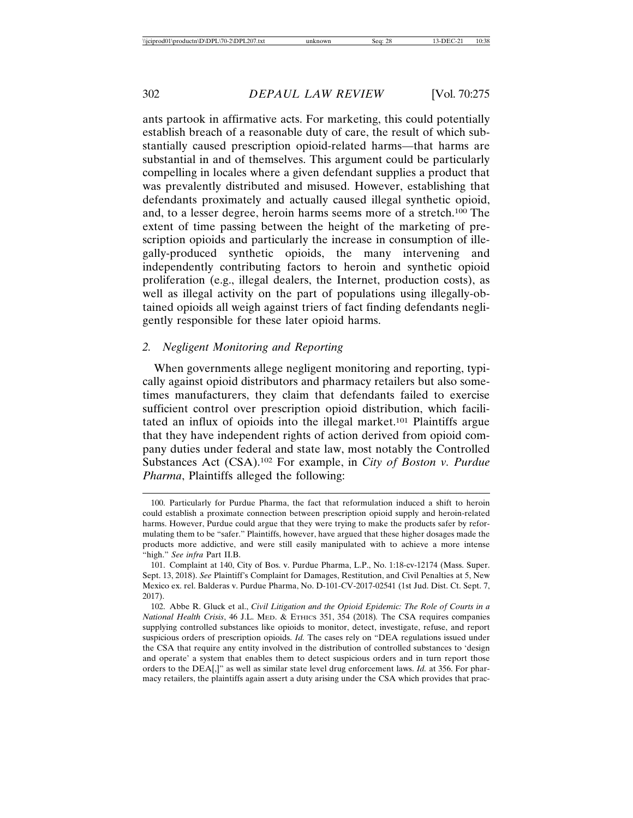ants partook in affirmative acts. For marketing, this could potentially establish breach of a reasonable duty of care, the result of which substantially caused prescription opioid-related harms—that harms are substantial in and of themselves. This argument could be particularly compelling in locales where a given defendant supplies a product that was prevalently distributed and misused. However, establishing that defendants proximately and actually caused illegal synthetic opioid, and, to a lesser degree, heroin harms seems more of a stretch.100 The extent of time passing between the height of the marketing of prescription opioids and particularly the increase in consumption of illegally-produced synthetic opioids, the many intervening and independently contributing factors to heroin and synthetic opioid proliferation (e.g., illegal dealers, the Internet, production costs), as well as illegal activity on the part of populations using illegally-obtained opioids all weigh against triers of fact finding defendants negligently responsible for these later opioid harms.

#### *2. Negligent Monitoring and Reporting*

When governments allege negligent monitoring and reporting, typically against opioid distributors and pharmacy retailers but also sometimes manufacturers, they claim that defendants failed to exercise sufficient control over prescription opioid distribution, which facilitated an influx of opioids into the illegal market.101 Plaintiffs argue that they have independent rights of action derived from opioid company duties under federal and state law, most notably the Controlled Substances Act (CSA).102 For example, in *City of Boston v. Purdue Pharma*, Plaintiffs alleged the following:

<sup>100.</sup> Particularly for Purdue Pharma, the fact that reformulation induced a shift to heroin could establish a proximate connection between prescription opioid supply and heroin-related harms. However, Purdue could argue that they were trying to make the products safer by reformulating them to be "safer." Plaintiffs, however, have argued that these higher dosages made the products more addictive, and were still easily manipulated with to achieve a more intense "high." *See infra* Part II.B.

<sup>101.</sup> Complaint at 140, City of Bos. v. Purdue Pharma, L.P., No. 1:18-cv-12174 (Mass. Super. Sept. 13, 2018). *See* Plaintiff's Complaint for Damages, Restitution, and Civil Penalties at 5, New Mexico ex. rel. Balderas v. Purdue Pharma, No. D-101-CV-2017-02541 (1st Jud. Dist. Ct. Sept. 7, 2017).

<sup>102.</sup> Abbe R. Gluck et al., *Civil Litigation and the Opioid Epidemic: The Role of Courts in a National Health Crisis*, 46 J.L. MED. & ETHICS 351, 354 (2018)*.* The CSA requires companies supplying controlled substances like opioids to monitor, detect, investigate, refuse, and report suspicious orders of prescription opioids. *Id.* The cases rely on "DEA regulations issued under the CSA that require any entity involved in the distribution of controlled substances to 'design and operate' a system that enables them to detect suspicious orders and in turn report those orders to the DEA[,]" as well as similar state level drug enforcement laws. *Id.* at 356. For pharmacy retailers, the plaintiffs again assert a duty arising under the CSA which provides that prac-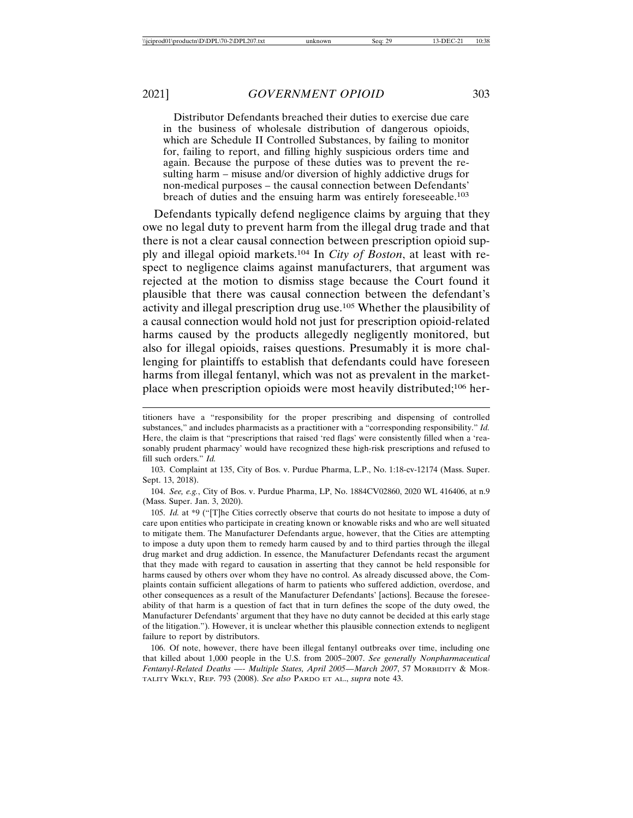Distributor Defendants breached their duties to exercise due care in the business of wholesale distribution of dangerous opioids, which are Schedule II Controlled Substances, by failing to monitor for, failing to report, and filling highly suspicious orders time and again. Because the purpose of these duties was to prevent the resulting harm – misuse and/or diversion of highly addictive drugs for non-medical purposes – the causal connection between Defendants' breach of duties and the ensuing harm was entirely foreseeable.103

Defendants typically defend negligence claims by arguing that they owe no legal duty to prevent harm from the illegal drug trade and that there is not a clear causal connection between prescription opioid supply and illegal opioid markets.104 In *City of Boston*, at least with respect to negligence claims against manufacturers, that argument was rejected at the motion to dismiss stage because the Court found it plausible that there was causal connection between the defendant's activity and illegal prescription drug use.105 Whether the plausibility of a causal connection would hold not just for prescription opioid-related harms caused by the products allegedly negligently monitored, but also for illegal opioids, raises questions. Presumably it is more challenging for plaintiffs to establish that defendants could have foreseen harms from illegal fentanyl, which was not as prevalent in the marketplace when prescription opioids were most heavily distributed;106 her-

103. Complaint at 135, City of Bos. v. Purdue Pharma, L.P., No. 1:18-cv-12174 (Mass. Super. Sept. 13, 2018).

104. *See, e.g.*, City of Bos. v. Purdue Pharma, LP, No. 1884CV02860, 2020 WL 416406, at n.9 (Mass. Super. Jan. 3, 2020).

105. *Id.* at \*9 ("[T]he Cities correctly observe that courts do not hesitate to impose a duty of care upon entities who participate in creating known or knowable risks and who are well situated to mitigate them. The Manufacturer Defendants argue, however, that the Cities are attempting to impose a duty upon them to remedy harm caused by and to third parties through the illegal drug market and drug addiction. In essence, the Manufacturer Defendants recast the argument that they made with regard to causation in asserting that they cannot be held responsible for harms caused by others over whom they have no control. As already discussed above, the Complaints contain sufficient allegations of harm to patients who suffered addiction, overdose, and other consequences as a result of the Manufacturer Defendants' [actions]. Because the foreseeability of that harm is a question of fact that in turn defines the scope of the duty owed, the Manufacturer Defendants' argument that they have no duty cannot be decided at this early stage of the litigation."). However, it is unclear whether this plausible connection extends to negligent failure to report by distributors.

106. Of note, however, there have been illegal fentanyl outbreaks over time, including one that killed about 1,000 people in the U.S. from 2005–2007. *See generally Nonpharmaceutical Fentanyl-Related Deaths —- Multiple States, April 2005—March 2007*, 57 MORBIDITY & MOR-TALITY WKLY, REP. 793 (2008). *See also* PARDO ET AL., *supra* note 43.

titioners have a "responsibility for the proper prescribing and dispensing of controlled substances," and includes pharmacists as a practitioner with a "corresponding responsibility." *Id.* Here, the claim is that "prescriptions that raised 'red flags' were consistently filled when a 'reasonably prudent pharmacy' would have recognized these high-risk prescriptions and refused to fill such orders." *Id.*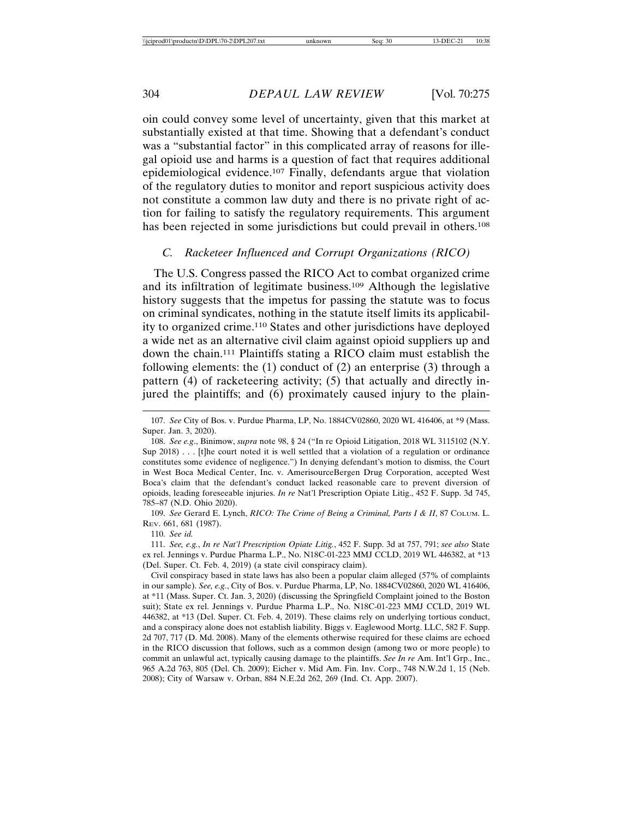oin could convey some level of uncertainty, given that this market at substantially existed at that time. Showing that a defendant's conduct was a "substantial factor" in this complicated array of reasons for illegal opioid use and harms is a question of fact that requires additional epidemiological evidence.107 Finally, defendants argue that violation of the regulatory duties to monitor and report suspicious activity does not constitute a common law duty and there is no private right of action for failing to satisfy the regulatory requirements. This argument has been rejected in some jurisdictions but could prevail in others.<sup>108</sup>

# *C. Racketeer Influenced and Corrupt Organizations (RICO)*

The U.S. Congress passed the RICO Act to combat organized crime and its infiltration of legitimate business.109 Although the legislative history suggests that the impetus for passing the statute was to focus on criminal syndicates, nothing in the statute itself limits its applicability to organized crime.110 States and other jurisdictions have deployed a wide net as an alternative civil claim against opioid suppliers up and down the chain.111 Plaintiffs stating a RICO claim must establish the following elements: the (1) conduct of (2) an enterprise (3) through a pattern (4) of racketeering activity; (5) that actually and directly injured the plaintiffs; and (6) proximately caused injury to the plain-

110. *See id.*

111. *See, e.g.*, *In re Nat'l Prescription Opiate Litig.*, 452 F. Supp. 3d at 757, 791; *see also* State ex rel. Jennings v. Purdue Pharma L.P., No. N18C-01-223 MMJ CCLD, 2019 WL 446382, at \*13 (Del. Super. Ct. Feb. 4, 2019) (a state civil conspiracy claim).

Civil conspiracy based in state laws has also been a popular claim alleged (57% of complaints in our sample). *See, e.g.*, City of Bos. v. Purdue Pharma, LP, No. 1884CV02860, 2020 WL 416406, at \*11 (Mass. Super. Ct. Jan. 3, 2020) (discussing the Springfield Complaint joined to the Boston suit); State ex rel. Jennings v. Purdue Pharma L.P., No. N18C-01-223 MMJ CCLD, 2019 WL 446382, at \*13 (Del. Super. Ct. Feb. 4, 2019). These claims rely on underlying tortious conduct, and a conspiracy alone does not establish liability. Biggs v. Eaglewood Mortg. LLC, 582 F. Supp. 2d 707, 717 (D. Md. 2008). Many of the elements otherwise required for these claims are echoed in the RICO discussion that follows, such as a common design (among two or more people) to commit an unlawful act, typically causing damage to the plaintiffs. *See In re* Am. Int'l Grp., Inc., 965 A.2d 763, 805 (Del. Ch. 2009); Eicher v. Mid Am. Fin. Inv. Corp., 748 N.W.2d 1, 15 (Neb. 2008); City of Warsaw v. Orban, 884 N.E.2d 262, 269 (Ind. Ct. App. 2007).

<sup>107.</sup> *See* City of Bos. v. Purdue Pharma, LP, No. 1884CV02860, 2020 WL 416406, at \*9 (Mass. Super. Jan. 3, 2020).

<sup>108.</sup> *See e.g*., Binimow, *supra* note 98, § 24 ("In re Opioid Litigation, 2018 WL 3115102 (N.Y. Sup 2018) . . . [t]he court noted it is well settled that a violation of a regulation or ordinance constitutes some evidence of negligence.") In denying defendant's motion to dismiss, the Court in West Boca Medical Center, Inc. v. AmerisourceBergen Drug Corporation, accepted West Boca's claim that the defendant's conduct lacked reasonable care to prevent diversion of opioids, leading foreseeable injuries. *In re* Nat'l Prescription Opiate Litig., 452 F. Supp. 3d 745, 785–87 (N.D. Ohio 2020).

<sup>109.</sup> *See* Gerard E. Lynch, *RICO: The Crime of Being a Criminal, Parts I & II*, 87 COLUM. L. REV. 661, 681 (1987).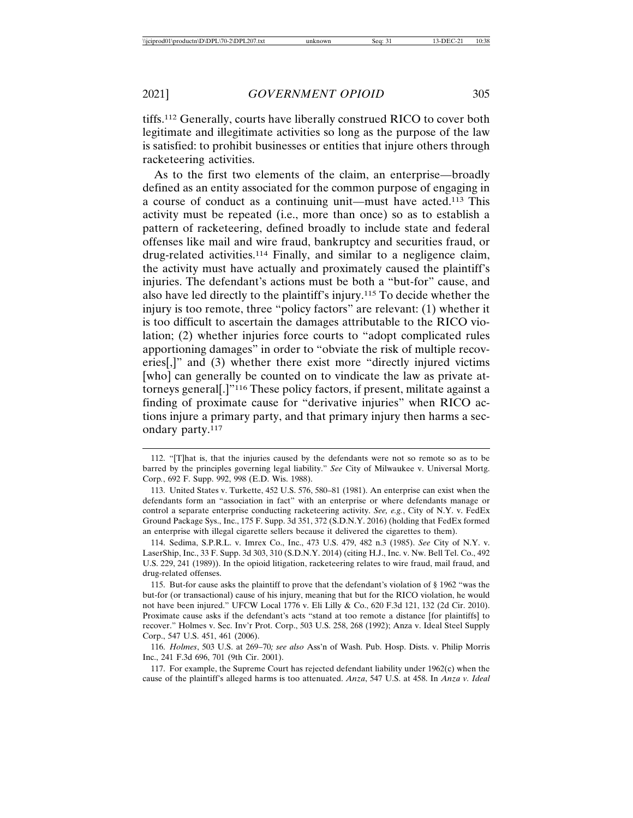tiffs.112 Generally, courts have liberally construed RICO to cover both legitimate and illegitimate activities so long as the purpose of the law is satisfied: to prohibit businesses or entities that injure others through racketeering activities.

As to the first two elements of the claim, an enterprise—broadly defined as an entity associated for the common purpose of engaging in a course of conduct as a continuing unit—must have acted.113 This activity must be repeated (i.e., more than once) so as to establish a pattern of racketeering, defined broadly to include state and federal offenses like mail and wire fraud, bankruptcy and securities fraud, or drug-related activities.114 Finally, and similar to a negligence claim, the activity must have actually and proximately caused the plaintiff's injuries. The defendant's actions must be both a "but-for" cause, and also have led directly to the plaintiff's injury.115 To decide whether the injury is too remote, three "policy factors" are relevant: (1) whether it is too difficult to ascertain the damages attributable to the RICO violation; (2) whether injuries force courts to "adopt complicated rules apportioning damages" in order to "obviate the risk of multiple recoveries[,]" and (3) whether there exist more "directly injured victims [who] can generally be counted on to vindicate the law as private attorneys general[.]"116 These policy factors, if present, militate against a finding of proximate cause for "derivative injuries" when RICO actions injure a primary party, and that primary injury then harms a secondary party.117

117. For example, the Supreme Court has rejected defendant liability under 1962(c) when the cause of the plaintiff's alleged harms is too attenuated. *Anza*, 547 U.S. at 458. In *Anza v. Ideal*

<sup>112. &</sup>quot;[T]hat is, that the injuries caused by the defendants were not so remote so as to be barred by the principles governing legal liability." *See* City of Milwaukee v. Universal Mortg. Corp*.*, 692 F. Supp. 992, 998 (E.D. Wis. 1988).

<sup>113.</sup> United States v. Turkette, 452 U.S. 576, 580–81 (1981). An enterprise can exist when the defendants form an "association in fact" with an enterprise or where defendants manage or control a separate enterprise conducting racketeering activity. *See, e.g.*, City of N.Y. v. FedEx Ground Package Sys., Inc., 175 F. Supp. 3d 351, 372 (S.D.N.Y. 2016) (holding that FedEx formed an enterprise with illegal cigarette sellers because it delivered the cigarettes to them).

<sup>114.</sup> Sedima, S.P.R.L. v. Imrex Co., Inc., 473 U.S. 479, 482 n.3 (1985). *See* City of N.Y. v. LaserShip, Inc., 33 F. Supp. 3d 303, 310 (S.D.N.Y. 2014) (citing H.J., Inc. v. Nw. Bell Tel. Co., 492 U.S. 229, 241 (1989)). In the opioid litigation, racketeering relates to wire fraud, mail fraud, and drug-related offenses.

<sup>115.</sup> But-for cause asks the plaintiff to prove that the defendant's violation of § 1962 "was the but-for (or transactional) cause of his injury, meaning that but for the RICO violation, he would not have been injured." UFCW Local 1776 v. Eli Lilly & Co., 620 F.3d 121, 132 (2d Cir. 2010). Proximate cause asks if the defendant's acts "stand at too remote a distance [for plaintiffs] to recover." Holmes v. Sec. Inv'r Prot. Corp., 503 U.S. 258, 268 (1992); Anza v. Ideal Steel Supply Corp., 547 U.S. 451, 461 (2006).

<sup>116.</sup> *Holmes*, 503 U.S. at 269–70*; see also* Ass'n of Wash. Pub. Hosp. Dists. v. Philip Morris Inc., 241 F.3d 696, 701 (9th Cir. 2001).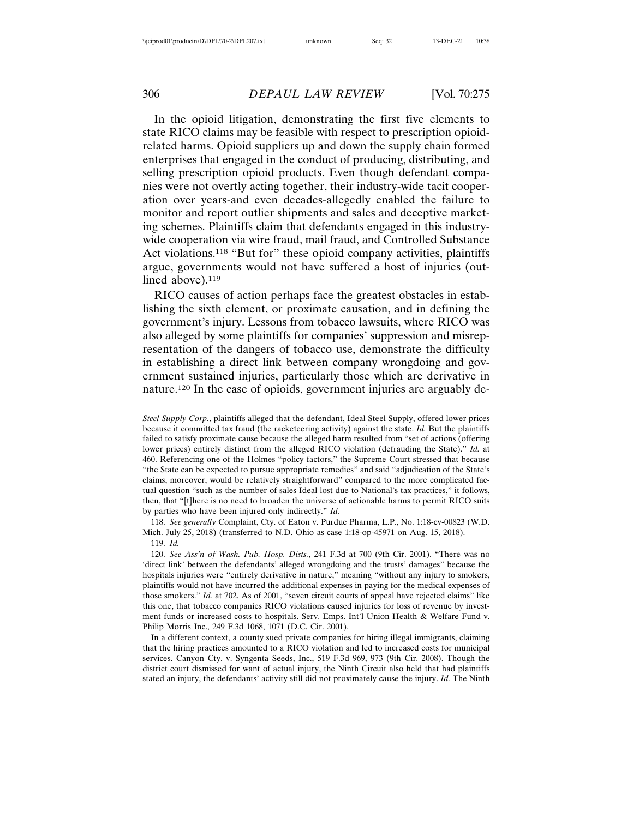In the opioid litigation, demonstrating the first five elements to state RICO claims may be feasible with respect to prescription opioidrelated harms. Opioid suppliers up and down the supply chain formed enterprises that engaged in the conduct of producing, distributing, and selling prescription opioid products. Even though defendant companies were not overtly acting together, their industry-wide tacit cooperation over years-and even decades-allegedly enabled the failure to monitor and report outlier shipments and sales and deceptive marketing schemes. Plaintiffs claim that defendants engaged in this industrywide cooperation via wire fraud, mail fraud, and Controlled Substance Act violations.<sup>118</sup> "But for" these opioid company activities, plaintiffs argue, governments would not have suffered a host of injuries (outlined above).<sup>119</sup>

RICO causes of action perhaps face the greatest obstacles in establishing the sixth element, or proximate causation, and in defining the government's injury. Lessons from tobacco lawsuits, where RICO was also alleged by some plaintiffs for companies' suppression and misrepresentation of the dangers of tobacco use, demonstrate the difficulty in establishing a direct link between company wrongdoing and government sustained injuries, particularly those which are derivative in nature.120 In the case of opioids, government injuries are arguably de-

118. *See generally* Complaint, Cty. of Eaton v. Purdue Pharma, L.P., No. 1:18-cv-00823 (W.D. Mich. July 25, 2018) (transferred to N.D. Ohio as case 1:18-op-45971 on Aug. 15, 2018). 119. *Id.*

120. *See Ass'n of Wash. Pub. Hosp. Dists.*, 241 F.3d at 700 (9th Cir. 2001). "There was no 'direct link' between the defendants' alleged wrongdoing and the trusts' damages" because the hospitals injuries were "entirely derivative in nature," meaning "without any injury to smokers, plaintiffs would not have incurred the additional expenses in paying for the medical expenses of those smokers." *Id.* at 702. As of 2001, "seven circuit courts of appeal have rejected claims" like this one, that tobacco companies RICO violations caused injuries for loss of revenue by investment funds or increased costs to hospitals. Serv. Emps. Int'l Union Health & Welfare Fund v. Philip Morris Inc., 249 F.3d 1068, 1071 (D.C. Cir. 2001).

In a different context, a county sued private companies for hiring illegal immigrants, claiming that the hiring practices amounted to a RICO violation and led to increased costs for municipal services. Canyon Cty. v. Syngenta Seeds, Inc., 519 F.3d 969, 973 (9th Cir. 2008). Though the district court dismissed for want of actual injury, the Ninth Circuit also held that had plaintiffs stated an injury, the defendants' activity still did not proximately cause the injury. *Id.* The Ninth

*Steel Supply Corp.*, plaintiffs alleged that the defendant, Ideal Steel Supply, offered lower prices because it committed tax fraud (the racketeering activity) against the state. *Id.* But the plaintiffs failed to satisfy proximate cause because the alleged harm resulted from "set of actions (offering lower prices) entirely distinct from the alleged RICO violation (defrauding the State)." *Id.* at 460. Referencing one of the Holmes "policy factors," the Supreme Court stressed that because "the State can be expected to pursue appropriate remedies" and said "adjudication of the State's claims, moreover, would be relatively straightforward" compared to the more complicated factual question "such as the number of sales Ideal lost due to National's tax practices," it follows, then, that "[t]here is no need to broaden the universe of actionable harms to permit RICO suits by parties who have been injured only indirectly." *Id.*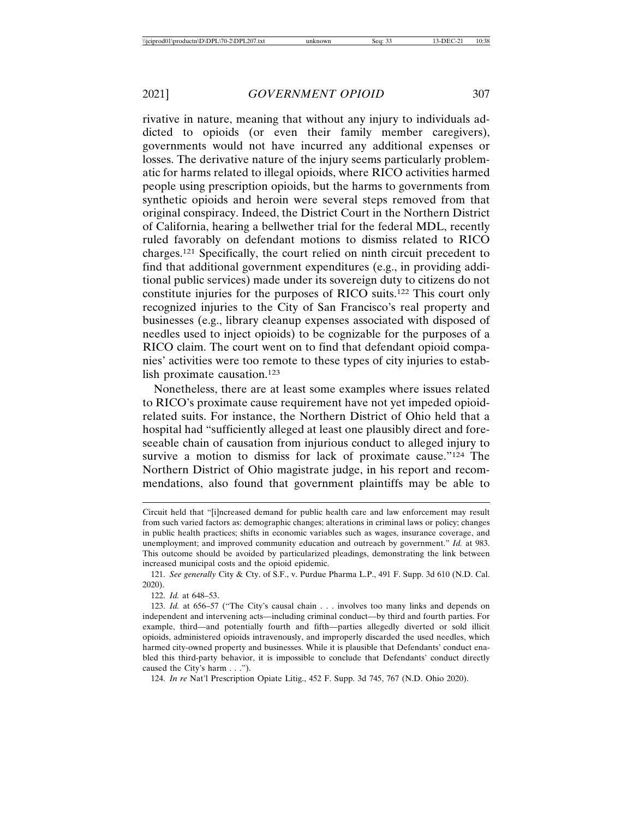rivative in nature, meaning that without any injury to individuals addicted to opioids (or even their family member caregivers), governments would not have incurred any additional expenses or losses. The derivative nature of the injury seems particularly problematic for harms related to illegal opioids, where RICO activities harmed people using prescription opioids, but the harms to governments from synthetic opioids and heroin were several steps removed from that original conspiracy. Indeed, the District Court in the Northern District of California, hearing a bellwether trial for the federal MDL, recently ruled favorably on defendant motions to dismiss related to RICO charges.121 Specifically, the court relied on ninth circuit precedent to find that additional government expenditures (e.g., in providing additional public services) made under its sovereign duty to citizens do not constitute injuries for the purposes of RICO suits.122 This court only recognized injuries to the City of San Francisco's real property and businesses (e.g., library cleanup expenses associated with disposed of needles used to inject opioids) to be cognizable for the purposes of a RICO claim. The court went on to find that defendant opioid companies' activities were too remote to these types of city injuries to establish proximate causation.123

Nonetheless, there are at least some examples where issues related to RICO's proximate cause requirement have not yet impeded opioidrelated suits. For instance, the Northern District of Ohio held that a hospital had "sufficiently alleged at least one plausibly direct and foreseeable chain of causation from injurious conduct to alleged injury to survive a motion to dismiss for lack of proximate cause."<sup>124</sup> The Northern District of Ohio magistrate judge, in his report and recommendations, also found that government plaintiffs may be able to

121. *See generally* City & Cty. of S.F., v. Purdue Pharma L.P., 491 F. Supp. 3d 610 (N.D. Cal. 2020).

122. *Id.* at 648–53.

123. *Id.* at 656–57 ("The City's causal chain . . . involves too many links and depends on independent and intervening acts—including criminal conduct—by third and fourth parties. For example, third—and potentially fourth and fifth—parties allegedly diverted or sold illicit opioids, administered opioids intravenously, and improperly discarded the used needles, which harmed city-owned property and businesses. While it is plausible that Defendants' conduct enabled this third-party behavior, it is impossible to conclude that Defendants' conduct directly caused the City's harm . . .").

124. *In re* Nat'l Prescription Opiate Litig., 452 F. Supp. 3d 745, 767 (N.D. Ohio 2020).

Circuit held that "[i]ncreased demand for public health care and law enforcement may result from such varied factors as: demographic changes; alterations in criminal laws or policy; changes in public health practices; shifts in economic variables such as wages, insurance coverage, and unemployment; and improved community education and outreach by government." *Id.* at 983. This outcome should be avoided by particularized pleadings, demonstrating the link between increased municipal costs and the opioid epidemic.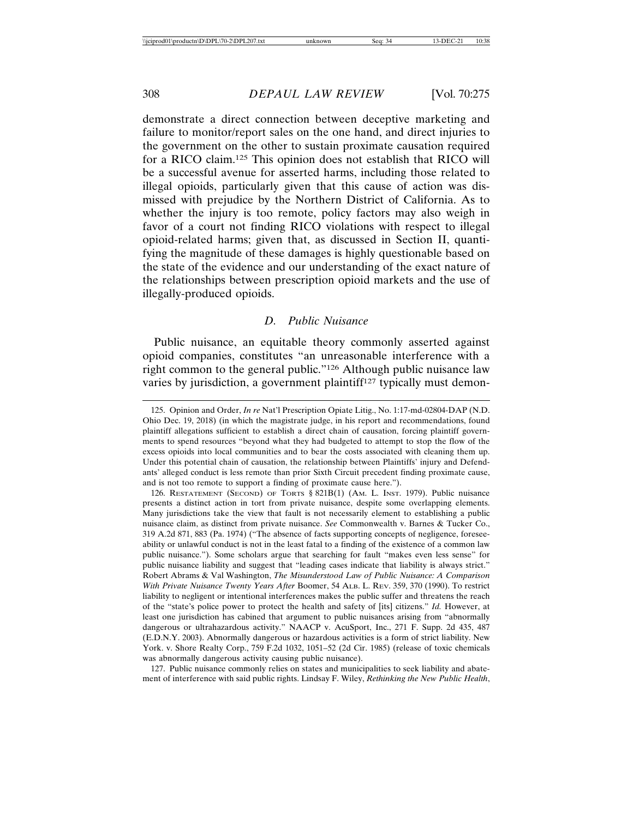demonstrate a direct connection between deceptive marketing and failure to monitor/report sales on the one hand, and direct injuries to the government on the other to sustain proximate causation required for a RICO claim.125 This opinion does not establish that RICO will be a successful avenue for asserted harms, including those related to illegal opioids, particularly given that this cause of action was dismissed with prejudice by the Northern District of California. As to whether the injury is too remote, policy factors may also weigh in favor of a court not finding RICO violations with respect to illegal opioid-related harms; given that, as discussed in Section II, quantifying the magnitude of these damages is highly questionable based on the state of the evidence and our understanding of the exact nature of the relationships between prescription opioid markets and the use of illegally-produced opioids.

#### *D. Public Nuisance*

Public nuisance, an equitable theory commonly asserted against opioid companies, constitutes "an unreasonable interference with a right common to the general public."126 Although public nuisance law varies by jurisdiction, a government plaintiff<sup>127</sup> typically must demon-

127. Public nuisance commonly relies on states and municipalities to seek liability and abatement of interference with said public rights. Lindsay F. Wiley, *Rethinking the New Public Health*,

<sup>125.</sup> Opinion and Order, *In re* Nat'l Prescription Opiate Litig., No. 1:17-md-02804-DAP (N.D. Ohio Dec. 19, 2018) (in which the magistrate judge, in his report and recommendations, found plaintiff allegations sufficient to establish a direct chain of causation, forcing plaintiff governments to spend resources "beyond what they had budgeted to attempt to stop the flow of the excess opioids into local communities and to bear the costs associated with cleaning them up. Under this potential chain of causation, the relationship between Plaintiffs' injury and Defendants' alleged conduct is less remote than prior Sixth Circuit precedent finding proximate cause, and is not too remote to support a finding of proximate cause here.").

<sup>126.</sup> RESTATEMENT (SECOND) OF TORTS § 821B(1) (AM. L. INST. 1979). Public nuisance presents a distinct action in tort from private nuisance, despite some overlapping elements. Many jurisdictions take the view that fault is not necessarily element to establishing a public nuisance claim, as distinct from private nuisance. *See* Commonwealth v. Barnes & Tucker Co., 319 A.2d 871, 883 (Pa. 1974) ("The absence of facts supporting concepts of negligence, foreseeability or unlawful conduct is not in the least fatal to a finding of the existence of a common law public nuisance."). Some scholars argue that searching for fault "makes even less sense" for public nuisance liability and suggest that "leading cases indicate that liability is always strict." Robert Abrams & Val Washington, *The Misunderstood Law of Public Nuisance: A Comparison With Private Nuisance Twenty Years After* Boomer, 54 ALB. L. REV. 359, 370 (1990). To restrict liability to negligent or intentional interferences makes the public suffer and threatens the reach of the "state's police power to protect the health and safety of [its] citizens." *Id.* However, at least one jurisdiction has cabined that argument to public nuisances arising from "abnormally dangerous or ultrahazardous activity." NAACP v. AcuSport, Inc., 271 F. Supp. 2d 435, 487 (E.D.N.Y. 2003). Abnormally dangerous or hazardous activities is a form of strict liability. New York. v. Shore Realty Corp., 759 F.2d 1032, 1051–52 (2d Cir. 1985) (release of toxic chemicals was abnormally dangerous activity causing public nuisance).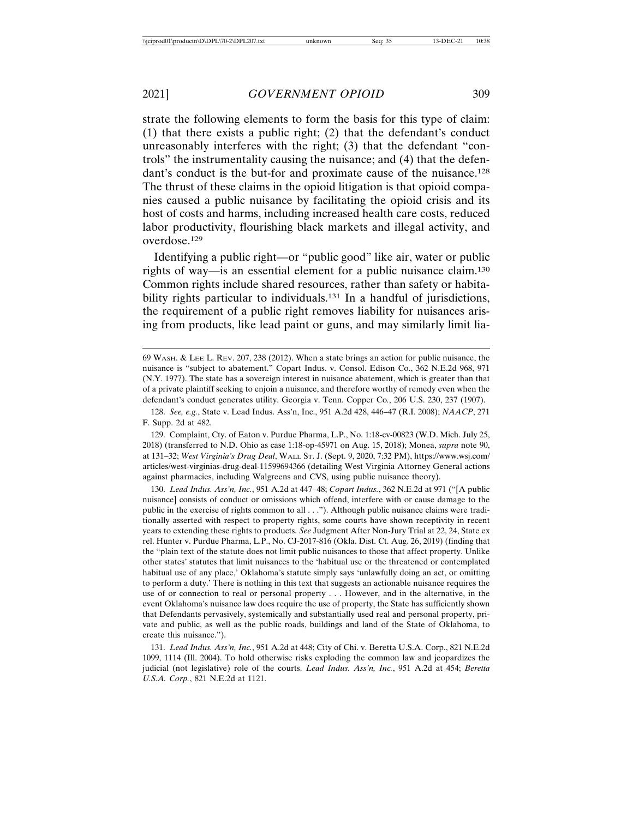strate the following elements to form the basis for this type of claim: (1) that there exists a public right; (2) that the defendant's conduct unreasonably interferes with the right; (3) that the defendant "controls" the instrumentality causing the nuisance; and (4) that the defendant's conduct is the but-for and proximate cause of the nuisance.<sup>128</sup> The thrust of these claims in the opioid litigation is that opioid companies caused a public nuisance by facilitating the opioid crisis and its host of costs and harms, including increased health care costs, reduced labor productivity, flourishing black markets and illegal activity, and overdose.129

Identifying a public right—or "public good" like air, water or public rights of way—is an essential element for a public nuisance claim.130 Common rights include shared resources, rather than safety or habitability rights particular to individuals.<sup>131</sup> In a handful of jurisdictions, the requirement of a public right removes liability for nuisances arising from products, like lead paint or guns, and may similarly limit lia-

129. Complaint, Cty. of Eaton v. Purdue Pharma, L.P., No. 1:18-cv-00823 (W.D. Mich. July 25, 2018) (transferred to N.D. Ohio as case 1:18-op-45971 on Aug. 15, 2018); Monea, *supra* note 90, at 131–32; *West Virginia's Drug Deal*, WALL ST. J. (Sept. 9, 2020, 7:32 PM), https://www.wsj.com/ articles/west-virginias-drug-deal-11599694366 (detailing West Virginia Attorney General actions against pharmacies, including Walgreens and CVS, using public nuisance theory).

130. *Lead Indus. Ass'n, Inc.*, 951 A.2d at 447–48; *Copart Indus.*, 362 N.E.2d at 971 ("[A public nuisance] consists of conduct or omissions which offend, interfere with or cause damage to the public in the exercise of rights common to all . . ."). Although public nuisance claims were traditionally asserted with respect to property rights, some courts have shown receptivity in recent years to extending these rights to products. *See* Judgment After Non-Jury Trial at 22, 24, State ex rel. Hunter v. Purdue Pharma, L.P., No. CJ-2017-816 (Okla. Dist. Ct. Aug. 26, 2019) (finding that the "plain text of the statute does not limit public nuisances to those that affect property. Unlike other states' statutes that limit nuisances to the 'habitual use or the threatened or contemplated habitual use of any place,' Oklahoma's statute simply says 'unlawfully doing an act, or omitting to perform a duty.' There is nothing in this text that suggests an actionable nuisance requires the use of or connection to real or personal property . . . However, and in the alternative, in the event Oklahoma's nuisance law does require the use of property, the State has sufficiently shown that Defendants pervasively, systemically and substantially used real and personal property, private and public, as well as the public roads, buildings and land of the State of Oklahoma, to create this nuisance.").

<sup>69</sup> WASH. & LEE L. REV. 207, 238 (2012). When a state brings an action for public nuisance, the nuisance is "subject to abatement." Copart Indus. v. Consol. Edison Co., 362 N.E.2d 968, 971 (N.Y. 1977). The state has a sovereign interest in nuisance abatement, which is greater than that of a private plaintiff seeking to enjoin a nuisance, and therefore worthy of remedy even when the defendant's conduct generates utility. Georgia v. Tenn. Copper Co*.*, 206 U.S. 230, 237 (1907).

<sup>128.</sup> *See, e.g.*, State v. Lead Indus. Ass'n, Inc., 951 A.2d 428, 446–47 (R.I. 2008); *NAACP*, 271 F. Supp. 2d at 482.

<sup>131.</sup> *Lead Indus. Ass'n, Inc.*, 951 A.2d at 448; City of Chi. v. Beretta U.S.A. Corp., 821 N.E.2d 1099, 1114 (Ill. 2004). To hold otherwise risks exploding the common law and jeopardizes the judicial (not legislative) role of the courts. *Lead Indus. Ass'n, Inc.*, 951 A.2d at 454; *Beretta U.S.A. Corp.*, 821 N.E.2d at 1121.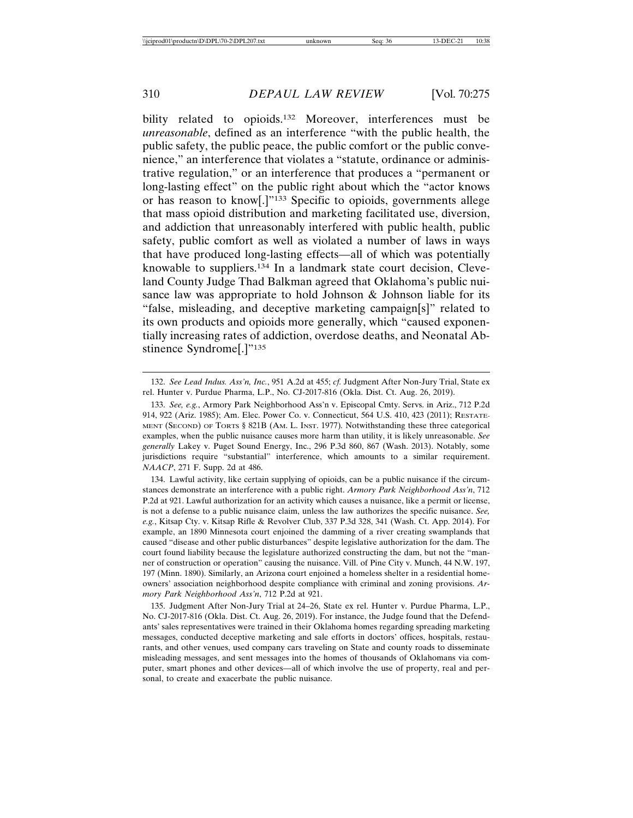bility related to opioids.132 Moreover, interferences must be *unreasonable*, defined as an interference "with the public health, the public safety, the public peace, the public comfort or the public convenience," an interference that violates a "statute, ordinance or administrative regulation," or an interference that produces a "permanent or long-lasting effect" on the public right about which the "actor knows or has reason to know[.]"133 Specific to opioids, governments allege that mass opioid distribution and marketing facilitated use, diversion, and addiction that unreasonably interfered with public health, public safety, public comfort as well as violated a number of laws in ways that have produced long-lasting effects—all of which was potentially knowable to suppliers.134 In a landmark state court decision, Cleveland County Judge Thad Balkman agreed that Oklahoma's public nuisance law was appropriate to hold Johnson & Johnson liable for its "false, misleading, and deceptive marketing campaign[s]" related to its own products and opioids more generally, which "caused exponentially increasing rates of addiction, overdose deaths, and Neonatal Abstinence Syndrome<sup>[.]"135</sup>

134. Lawful activity, like certain supplying of opioids, can be a public nuisance if the circumstances demonstrate an interference with a public right. *Armory Park Neighborhood Ass'n*, 712 P.2d at 921. Lawful authorization for an activity which causes a nuisance, like a permit or license, is not a defense to a public nuisance claim, unless the law authorizes the specific nuisance. *See, e.g.*, Kitsap Cty. v. Kitsap Rifle & Revolver Club, 337 P.3d 328, 341 (Wash. Ct. App. 2014). For example, an 1890 Minnesota court enjoined the damming of a river creating swamplands that caused "disease and other public disturbances" despite legislative authorization for the dam. The court found liability because the legislature authorized constructing the dam, but not the "manner of construction or operation" causing the nuisance. Vill. of Pine City v. Munch, 44 N.W. 197, 197 (Minn. 1890). Similarly, an Arizona court enjoined a homeless shelter in a residential homeowners' association neighborhood despite compliance with criminal and zoning provisions. *Armory Park Neighborhood Ass'n*, 712 P.2d at 921.

135. Judgment After Non-Jury Trial at 24–26, State ex rel. Hunter v. Purdue Pharma, L.P., No. CJ-2017-816 (Okla. Dist. Ct. Aug. 26, 2019). For instance, the Judge found that the Defendants' sales representatives were trained in their Oklahoma homes regarding spreading marketing messages, conducted deceptive marketing and sale efforts in doctors' offices, hospitals, restaurants, and other venues, used company cars traveling on State and county roads to disseminate misleading messages, and sent messages into the homes of thousands of Oklahomans via computer, smart phones and other devices—all of which involve the use of property, real and personal, to create and exacerbate the public nuisance.

<sup>132.</sup> *See Lead Indus. Ass'n, Inc.*, 951 A.2d at 455; *cf.* Judgment After Non-Jury Trial, State ex rel. Hunter v. Purdue Pharma, L.P., No. CJ-2017-816 (Okla. Dist. Ct. Aug. 26, 2019).

<sup>133.</sup> *See, e.g.*, Armory Park Neighborhood Ass'n v. Episcopal Cmty. Servs. in Ariz., 712 P.2d 914, 922 (Ariz. 1985); Am. Elec. Power Co. v. Connecticut, 564 U.S. 410, 423 (2011); RESTATE-MENT (SECOND) OF TORTS § 821B (AM. L. INST. 1977)*.* Notwithstanding these three categorical examples, when the public nuisance causes more harm than utility, it is likely unreasonable. *See generally* Lakey v. Puget Sound Energy, Inc., 296 P.3d 860, 867 (Wash. 2013). Notably, some jurisdictions require "substantial" interference, which amounts to a similar requirement. *NAACP*, 271 F. Supp. 2d at 486.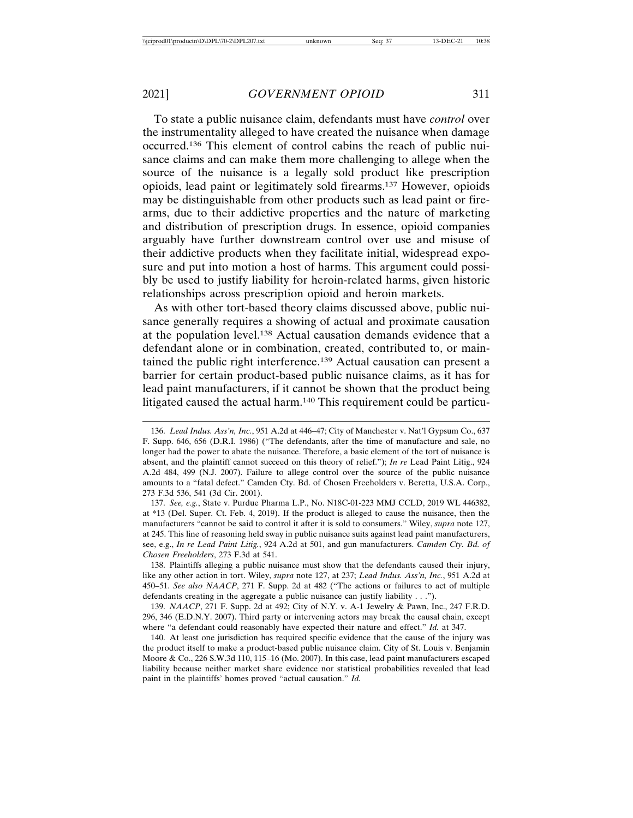To state a public nuisance claim, defendants must have *control* over the instrumentality alleged to have created the nuisance when damage occurred.136 This element of control cabins the reach of public nuisance claims and can make them more challenging to allege when the source of the nuisance is a legally sold product like prescription opioids, lead paint or legitimately sold firearms.137 However, opioids may be distinguishable from other products such as lead paint or firearms, due to their addictive properties and the nature of marketing and distribution of prescription drugs. In essence, opioid companies arguably have further downstream control over use and misuse of their addictive products when they facilitate initial, widespread exposure and put into motion a host of harms. This argument could possibly be used to justify liability for heroin-related harms, given historic relationships across prescription opioid and heroin markets.

As with other tort-based theory claims discussed above, public nuisance generally requires a showing of actual and proximate causation at the population level.138 Actual causation demands evidence that a defendant alone or in combination, created, contributed to, or maintained the public right interference.139 Actual causation can present a barrier for certain product-based public nuisance claims, as it has for lead paint manufacturers, if it cannot be shown that the product being litigated caused the actual harm.140 This requirement could be particu-

137. *See, e.g.*, State v. Purdue Pharma L.P., No. N18C-01-223 MMJ CCLD, 2019 WL 446382, at \*13 (Del. Super. Ct. Feb. 4, 2019). If the product is alleged to cause the nuisance, then the manufacturers "cannot be said to control it after it is sold to consumers." Wiley, *supra* note 127, at 245. This line of reasoning held sway in public nuisance suits against lead paint manufacturers, see, e.g., *In re Lead Paint Litig.*, 924 A.2d at 501, and gun manufacturers. *Camden Cty. Bd. of Chosen Freeholders*, 273 F.3d at 541.

138. Plaintiffs alleging a public nuisance must show that the defendants caused their injury, like any other action in tort. Wiley, *supra* note 127, at 237; *Lead Indus. Ass'n, Inc.*, 951 A.2d at 450–51. *See also NAACP*, 271 F. Supp. 2d at 482 ("The actions or failures to act of multiple defendants creating in the aggregate a public nuisance can justify liability . . .").

139. *NAACP*, 271 F. Supp. 2d at 492; City of N.Y. v. A-1 Jewelry & Pawn, Inc., 247 F.R.D. 296, 346 (E.D.N.Y. 2007). Third party or intervening actors may break the causal chain, except where "a defendant could reasonably have expected their nature and effect." *Id.* at 347.

140. At least one jurisdiction has required specific evidence that the cause of the injury was the product itself to make a product-based public nuisance claim. City of St. Louis v. Benjamin Moore & Co., 226 S.W.3d 110, 115–16 (Mo. 2007). In this case, lead paint manufacturers escaped liability because neither market share evidence nor statistical probabilities revealed that lead paint in the plaintiffs' homes proved "actual causation." *Id.*

<sup>136.</sup> *Lead Indus. Ass'n, Inc.*, 951 A.2d at 446–47; City of Manchester v. Nat'l Gypsum Co., 637 F. Supp. 646, 656 (D.R.I. 1986) ("The defendants, after the time of manufacture and sale, no longer had the power to abate the nuisance. Therefore, a basic element of the tort of nuisance is absent, and the plaintiff cannot succeed on this theory of relief."); *In re* Lead Paint Litig., 924 A.2d 484, 499 (N.J. 2007). Failure to allege control over the source of the public nuisance amounts to a "fatal defect." Camden Cty. Bd. of Chosen Freeholders v. Beretta, U.S.A. Corp., 273 F.3d 536, 541 (3d Cir. 2001).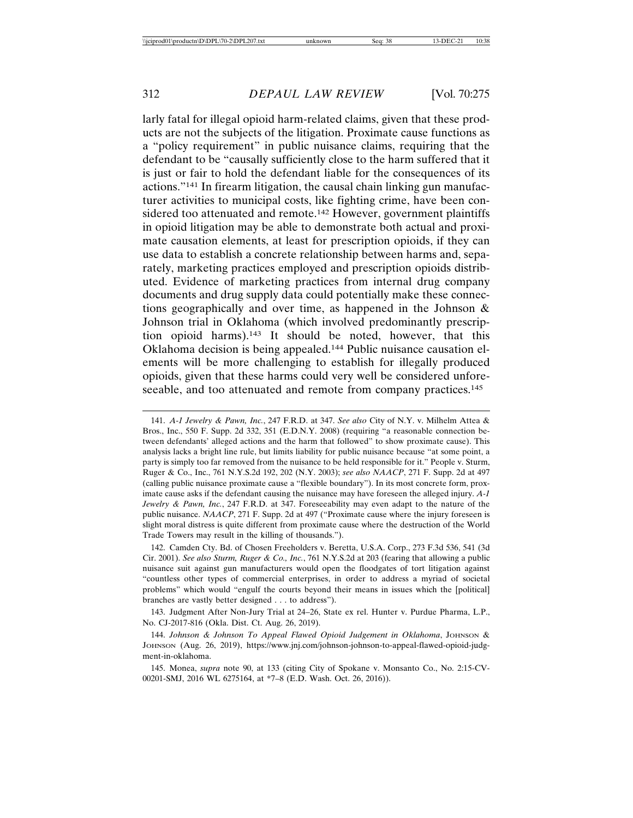larly fatal for illegal opioid harm-related claims, given that these products are not the subjects of the litigation. Proximate cause functions as a "policy requirement" in public nuisance claims, requiring that the defendant to be "causally sufficiently close to the harm suffered that it is just or fair to hold the defendant liable for the consequences of its actions."141 In firearm litigation, the causal chain linking gun manufacturer activities to municipal costs, like fighting crime, have been considered too attenuated and remote.<sup>142</sup> However, government plaintiffs in opioid litigation may be able to demonstrate both actual and proximate causation elements, at least for prescription opioids, if they can use data to establish a concrete relationship between harms and, separately, marketing practices employed and prescription opioids distributed. Evidence of marketing practices from internal drug company documents and drug supply data could potentially make these connections geographically and over time, as happened in the Johnson & Johnson trial in Oklahoma (which involved predominantly prescription opioid harms).143 It should be noted, however, that this Oklahoma decision is being appealed.144 Public nuisance causation elements will be more challenging to establish for illegally produced opioids, given that these harms could very well be considered unforeseeable, and too attenuated and remote from company practices.<sup>145</sup>

143. Judgment After Non-Jury Trial at 24–26, State ex rel. Hunter v. Purdue Pharma, L.P., No. CJ-2017-816 (Okla. Dist. Ct. Aug. 26, 2019).

144. *Johnson & Johnson To Appeal Flawed Opioid Judgement in Oklahoma*, JOHNSON & JOHNSON (Aug. 26, 2019), https://www.jnj.com/johnson-johnson-to-appeal-flawed-opioid-judgment-in-oklahoma.

145. Monea, *supra* note 90, at 133 (citing City of Spokane v. Monsanto Co., No. 2:15-CV-00201-SMJ, 2016 WL 6275164, at \*7–8 (E.D. Wash. Oct. 26, 2016)).

<sup>141.</sup> *A-1 Jewelry & Pawn, Inc.*, 247 F.R.D. at 347. *See also* City of N.Y. v. Milhelm Attea & Bros., Inc., 550 F. Supp. 2d 332, 351 (E.D.N.Y. 2008) (requiring "a reasonable connection between defendants' alleged actions and the harm that followed" to show proximate cause). This analysis lacks a bright line rule, but limits liability for public nuisance because "at some point, a party is simply too far removed from the nuisance to be held responsible for it." People v. Sturm, Ruger & Co., Inc., 761 N.Y.S.2d 192, 202 (N.Y. 2003); *see also NAACP*, 271 F. Supp. 2d at 497 (calling public nuisance proximate cause a "flexible boundary"). In its most concrete form, proximate cause asks if the defendant causing the nuisance may have foreseen the alleged injury. *A-1 Jewelry & Pawn, Inc.*, 247 F.R.D. at 347. Foreseeability may even adapt to the nature of the public nuisance. *NAACP*, 271 F. Supp. 2d at 497 ("Proximate cause where the injury foreseen is slight moral distress is quite different from proximate cause where the destruction of the World Trade Towers may result in the killing of thousands.").

<sup>142.</sup> Camden Cty. Bd. of Chosen Freeholders v. Beretta, U.S.A. Corp., 273 F.3d 536, 541 (3d Cir. 2001). *See also Sturm, Ruger & Co., Inc.*, 761 N.Y.S.2d at 203 (fearing that allowing a public nuisance suit against gun manufacturers would open the floodgates of tort litigation against "countless other types of commercial enterprises, in order to address a myriad of societal problems" which would "engulf the courts beyond their means in issues which the [political] branches are vastly better designed . . . to address").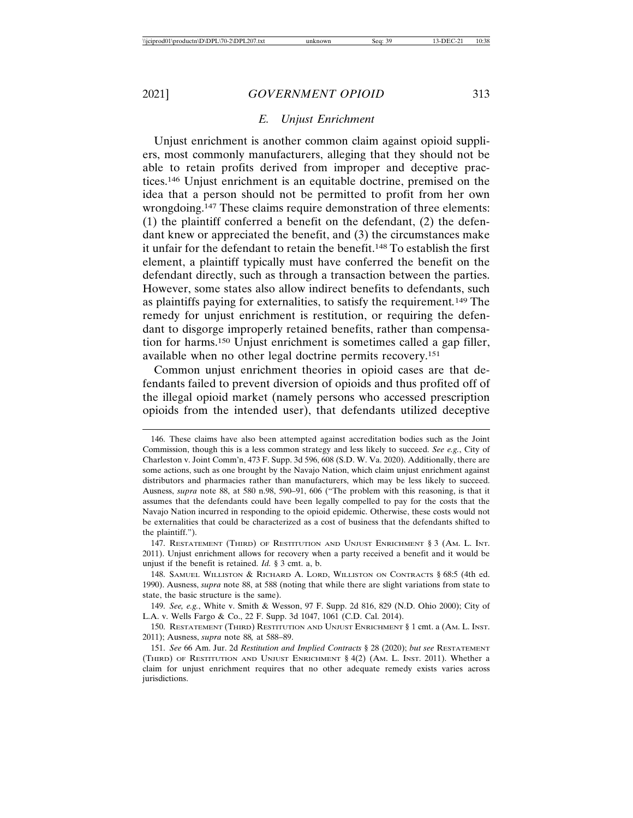#### *E. Unjust Enrichment*

Unjust enrichment is another common claim against opioid suppliers, most commonly manufacturers, alleging that they should not be able to retain profits derived from improper and deceptive practices.146 Unjust enrichment is an equitable doctrine, premised on the idea that a person should not be permitted to profit from her own wrongdoing.147 These claims require demonstration of three elements: (1) the plaintiff conferred a benefit on the defendant, (2) the defendant knew or appreciated the benefit, and (3) the circumstances make it unfair for the defendant to retain the benefit.148 To establish the first element, a plaintiff typically must have conferred the benefit on the defendant directly, such as through a transaction between the parties. However, some states also allow indirect benefits to defendants, such as plaintiffs paying for externalities, to satisfy the requirement*.* 149 The remedy for unjust enrichment is restitution, or requiring the defendant to disgorge improperly retained benefits, rather than compensation for harms.150 Unjust enrichment is sometimes called a gap filler, available when no other legal doctrine permits recovery.151

Common unjust enrichment theories in opioid cases are that defendants failed to prevent diversion of opioids and thus profited off of the illegal opioid market (namely persons who accessed prescription opioids from the intended user), that defendants utilized deceptive

<sup>146.</sup> These claims have also been attempted against accreditation bodies such as the Joint Commission, though this is a less common strategy and less likely to succeed. *See e.g.*, City of Charleston v. Joint Comm'n, 473 F. Supp. 3d 596, 608 (S.D. W. Va. 2020). Additionally, there are some actions, such as one brought by the Navajo Nation, which claim unjust enrichment against distributors and pharmacies rather than manufacturers, which may be less likely to succeed. Ausness, *supra* note 88, at 580 n.98, 590–91, 606 ("The problem with this reasoning, is that it assumes that the defendants could have been legally compelled to pay for the costs that the Navajo Nation incurred in responding to the opioid epidemic. Otherwise, these costs would not be externalities that could be characterized as a cost of business that the defendants shifted to the plaintiff.").

<sup>147.</sup> RESTATEMENT (THIRD) OF RESTITUTION AND UNJUST ENRICHMENT § 3 (AM. L. INT. 2011). Unjust enrichment allows for recovery when a party received a benefit and it would be unjust if the benefit is retained. *Id.* § 3 cmt. a, b.

<sup>148.</sup> SAMUEL WILLISTON & RICHARD A. LORD, WILLISTON ON CONTRACTS § 68:5 (4th ed. 1990). Ausness, *supra* note 88, at 588 (noting that while there are slight variations from state to state, the basic structure is the same).

<sup>149.</sup> *See, e.g.*, White v. Smith & Wesson, 97 F. Supp. 2d 816, 829 (N.D. Ohio 2000); City of L.A. v. Wells Fargo & Co., 22 F. Supp. 3d 1047, 1061 (C.D. Cal. 2014).

<sup>150.</sup> RESTATEMENT (THIRD) RESTITUTION AND UNJUST ENRICHMENT § 1 cmt. a (AM. L. INST. 2011); Ausness, *supra* note 88*,* at 588–89.

<sup>151.</sup> *See* 66 Am. Jur. 2d *Restitution and Implied Contracts* § 28 (2020); *but see* RESTATEMENT (THIRD) OF RESTITUTION AND UNJUST ENRICHMENT § 4(2) (AM. L. INST. 2011). Whether a claim for unjust enrichment requires that no other adequate remedy exists varies across jurisdictions.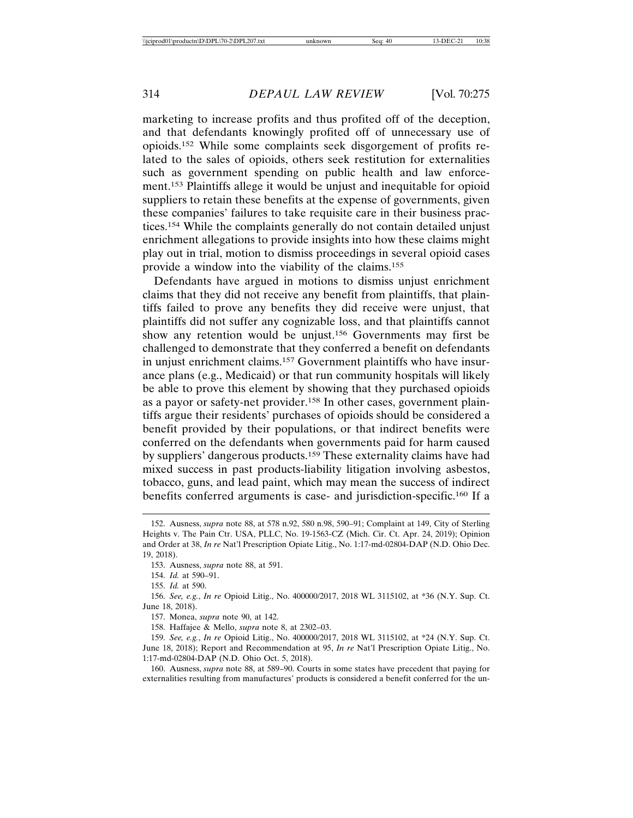marketing to increase profits and thus profited off of the deception, and that defendants knowingly profited off of unnecessary use of opioids.152 While some complaints seek disgorgement of profits related to the sales of opioids, others seek restitution for externalities such as government spending on public health and law enforcement.153 Plaintiffs allege it would be unjust and inequitable for opioid suppliers to retain these benefits at the expense of governments, given these companies' failures to take requisite care in their business practices.154 While the complaints generally do not contain detailed unjust enrichment allegations to provide insights into how these claims might play out in trial, motion to dismiss proceedings in several opioid cases provide a window into the viability of the claims.155

Defendants have argued in motions to dismiss unjust enrichment claims that they did not receive any benefit from plaintiffs, that plaintiffs failed to prove any benefits they did receive were unjust, that plaintiffs did not suffer any cognizable loss, and that plaintiffs cannot show any retention would be unjust.156 Governments may first be challenged to demonstrate that they conferred a benefit on defendants in unjust enrichment claims.157 Government plaintiffs who have insurance plans (e.g., Medicaid) or that run community hospitals will likely be able to prove this element by showing that they purchased opioids as a payor or safety-net provider.158 In other cases, government plaintiffs argue their residents' purchases of opioids should be considered a benefit provided by their populations, or that indirect benefits were conferred on the defendants when governments paid for harm caused by suppliers' dangerous products.159 These externality claims have had mixed success in past products-liability litigation involving asbestos, tobacco, guns, and lead paint, which may mean the success of indirect benefits conferred arguments is case- and jurisdiction-specific.160 If a

160. Ausness, *supra* note 88, at 589–90. Courts in some states have precedent that paying for externalities resulting from manufactures' products is considered a benefit conferred for the un-

<sup>152.</sup> Ausness, *supra* note 88, at 578 n.92, 580 n.98, 590–91; Complaint at 149, City of Sterling Heights v. The Pain Ctr. USA, PLLC, No. 19-1563-CZ (Mich. Cir. Ct. Apr. 24, 2019); Opinion and Order at 38, *In re* Nat'l Prescription Opiate Litig., No. 1:17-md-02804-DAP (N.D. Ohio Dec. 19, 2018).

<sup>153.</sup> Ausness, *supra* note 88, at 591.

<sup>154.</sup> *Id.* at 590–91.

<sup>155.</sup> *Id.* at 590.

<sup>156.</sup> *See, e.g.*, *In re* Opioid Litig., No. 400000/2017, 2018 WL 3115102, at \*36 (N.Y. Sup. Ct. June 18, 2018).

<sup>157.</sup> Monea, *supra* note 90, at 142.

<sup>158.</sup> Haffajee & Mello, *supra* note 8, at 2302–03.

<sup>159.</sup> *See, e.g.*, *In re* Opioid Litig., No. 400000/2017, 2018 WL 3115102, at \*24 (N.Y. Sup. Ct. June 18, 2018); Report and Recommendation at 95, *In re* Nat'l Prescription Opiate Litig., No. 1:17-md-02804-DAP (N.D. Ohio Oct. 5, 2018).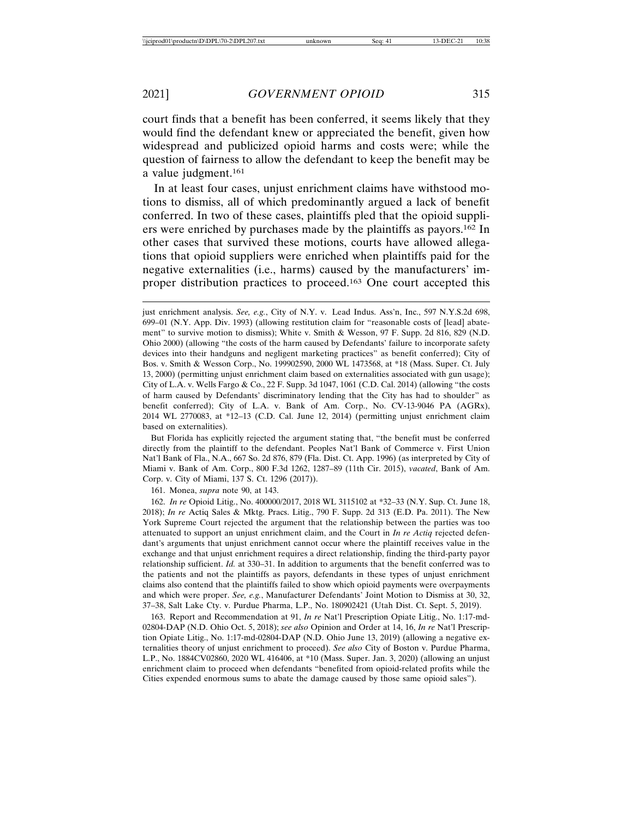court finds that a benefit has been conferred, it seems likely that they would find the defendant knew or appreciated the benefit, given how widespread and publicized opioid harms and costs were; while the question of fairness to allow the defendant to keep the benefit may be a value judgment.161

In at least four cases, unjust enrichment claims have withstood motions to dismiss, all of which predominantly argued a lack of benefit conferred. In two of these cases, plaintiffs pled that the opioid suppliers were enriched by purchases made by the plaintiffs as payors.162 In other cases that survived these motions, courts have allowed allegations that opioid suppliers were enriched when plaintiffs paid for the negative externalities (i.e., harms) caused by the manufacturers' improper distribution practices to proceed.163 One court accepted this

But Florida has explicitly rejected the argument stating that, "the benefit must be conferred directly from the plaintiff to the defendant. Peoples Nat'l Bank of Commerce v. First Union Nat'l Bank of Fla., N.A., 667 So. 2d 876, 879 (Fla. Dist. Ct. App. 1996) (as interpreted by City of Miami v. Bank of Am. Corp., 800 F.3d 1262, 1287–89 (11th Cir. 2015), *vacated*, Bank of Am. Corp. v. City of Miami, 137 S. Ct. 1296 (2017)).

161. Monea, *supra* note 90, at 143.

162. *In re* Opioid Litig., No. 400000/2017, 2018 WL 3115102 at \*32–33 (N.Y. Sup. Ct. June 18, 2018); *In re* Actiq Sales & Mktg. Pracs. Litig., 790 F. Supp. 2d 313 (E.D. Pa. 2011). The New York Supreme Court rejected the argument that the relationship between the parties was too attenuated to support an unjust enrichment claim, and the Court in *In re Actiq* rejected defendant's arguments that unjust enrichment cannot occur where the plaintiff receives value in the exchange and that unjust enrichment requires a direct relationship, finding the third-party payor relationship sufficient. *Id.* at 330–31. In addition to arguments that the benefit conferred was to the patients and not the plaintiffs as payors, defendants in these types of unjust enrichment claims also contend that the plaintiffs failed to show which opioid payments were overpayments and which were proper. *See, e.g.*, Manufacturer Defendants' Joint Motion to Dismiss at 30, 32, 37–38, Salt Lake Cty. v. Purdue Pharma, L.P., No. 180902421 (Utah Dist. Ct. Sept. 5, 2019).

163. Report and Recommendation at 91, *In re* Nat'l Prescription Opiate Litig., No. 1:17-md-02804-DAP (N.D. Ohio Oct. 5, 2018); *see also* Opinion and Order at 14, 16, *In re* Nat'l Prescription Opiate Litig., No. 1:17-md-02804-DAP (N.D. Ohio June 13, 2019) (allowing a negative externalities theory of unjust enrichment to proceed). *See also* City of Boston v. Purdue Pharma, L.P., No. 1884CV02860, 2020 WL 416406, at \*10 (Mass. Super. Jan. 3, 2020) (allowing an unjust enrichment claim to proceed when defendants "benefited from opioid-related profits while the Cities expended enormous sums to abate the damage caused by those same opioid sales").

just enrichment analysis. *See, e.g.*, City of N.Y. v. Lead Indus. Ass'n, Inc., 597 N.Y.S.2d 698, 699–01 (N.Y. App. Div. 1993) (allowing restitution claim for "reasonable costs of [lead] abatement" to survive motion to dismiss); White v. Smith & Wesson, 97 F. Supp. 2d 816, 829 (N.D. Ohio 2000) (allowing "the costs of the harm caused by Defendants' failure to incorporate safety devices into their handguns and negligent marketing practices" as benefit conferred); City of Bos. v. Smith & Wesson Corp., No. 199902590, 2000 WL 1473568, at \*18 (Mass. Super. Ct. July 13, 2000) (permitting unjust enrichment claim based on externalities associated with gun usage); City of L.A. v. Wells Fargo & Co., 22 F. Supp. 3d 1047, 1061 (C.D. Cal. 2014) (allowing "the costs of harm caused by Defendants' discriminatory lending that the City has had to shoulder" as benefit conferred); City of L.A. v. Bank of Am. Corp., No. CV-13-9046 PA (AGRx), 2014 WL 2770083, at \*12–13 (C.D. Cal. June 12, 2014) (permitting unjust enrichment claim based on externalities).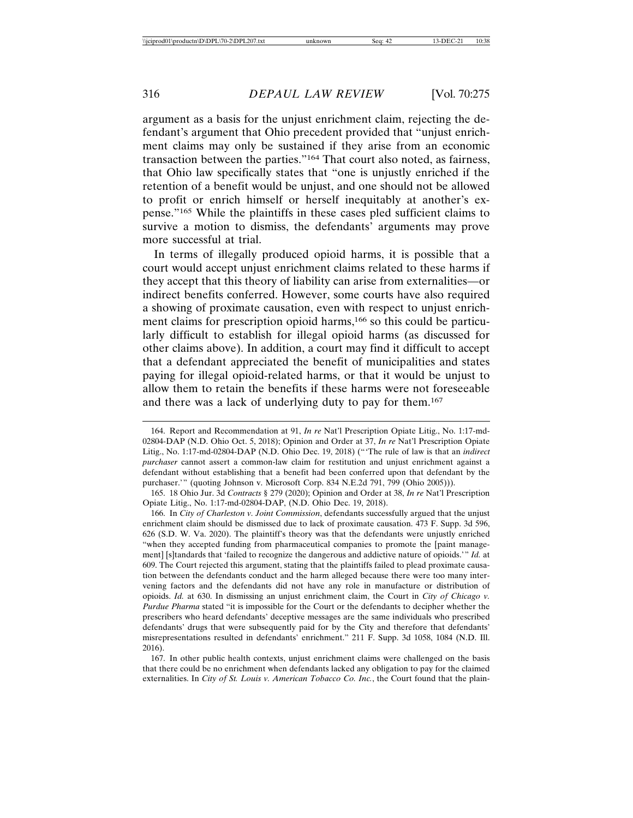argument as a basis for the unjust enrichment claim, rejecting the defendant's argument that Ohio precedent provided that "unjust enrichment claims may only be sustained if they arise from an economic transaction between the parties."164 That court also noted, as fairness, that Ohio law specifically states that "one is unjustly enriched if the retention of a benefit would be unjust, and one should not be allowed to profit or enrich himself or herself inequitably at another's expense."165 While the plaintiffs in these cases pled sufficient claims to survive a motion to dismiss, the defendants' arguments may prove more successful at trial.

In terms of illegally produced opioid harms, it is possible that a court would accept unjust enrichment claims related to these harms if they accept that this theory of liability can arise from externalities—or indirect benefits conferred. However, some courts have also required a showing of proximate causation, even with respect to unjust enrichment claims for prescription opioid harms,166 so this could be particularly difficult to establish for illegal opioid harms (as discussed for other claims above). In addition, a court may find it difficult to accept that a defendant appreciated the benefit of municipalities and states paying for illegal opioid-related harms, or that it would be unjust to allow them to retain the benefits if these harms were not foreseeable and there was a lack of underlying duty to pay for them.167

166. In *City of Charleston v. Joint Commission*, defendants successfully argued that the unjust enrichment claim should be dismissed due to lack of proximate causation. 473 F. Supp. 3d 596, 626 (S.D. W. Va. 2020). The plaintiff's theory was that the defendants were unjustly enriched "when they accepted funding from pharmaceutical companies to promote the [paint management] [s]tandards that 'failed to recognize the dangerous and addictive nature of opioids.'" *Id.* at 609. The Court rejected this argument, stating that the plaintiffs failed to plead proximate causation between the defendants conduct and the harm alleged because there were too many intervening factors and the defendants did not have any role in manufacture or distribution of opioids. *Id.* at 630. In dismissing an unjust enrichment claim, the Court in *City of Chicago v. Purdue Pharma* stated "it is impossible for the Court or the defendants to decipher whether the prescribers who heard defendants' deceptive messages are the same individuals who prescribed defendants' drugs that were subsequently paid for by the City and therefore that defendants' misrepresentations resulted in defendants' enrichment." 211 F. Supp. 3d 1058, 1084 (N.D. Ill. 2016).

167. In other public health contexts, unjust enrichment claims were challenged on the basis that there could be no enrichment when defendants lacked any obligation to pay for the claimed externalities. In *City of St. Louis v. American Tobacco Co. Inc.*, the Court found that the plain-

<sup>164.</sup> Report and Recommendation at 91, *In re* Nat'l Prescription Opiate Litig., No. 1:17-md-02804-DAP (N.D. Ohio Oct. 5, 2018); Opinion and Order at 37, *In re* Nat'l Prescription Opiate Litig., No. 1:17-md-02804-DAP (N.D. Ohio Dec. 19, 2018) ("'The rule of law is that an *indirect purchaser* cannot assert a common-law claim for restitution and unjust enrichment against a defendant without establishing that a benefit had been conferred upon that defendant by the purchaser.'" (quoting Johnson v. Microsoft Corp. 834 N.E.2d 791, 799 (Ohio 2005))).

<sup>165. 18</sup> Ohio Jur. 3d *Contracts* § 279 (2020); Opinion and Order at 38, *In re* Nat'l Prescription Opiate Litig., No. 1:17-md-02804-DAP, (N.D. Ohio Dec. 19, 2018).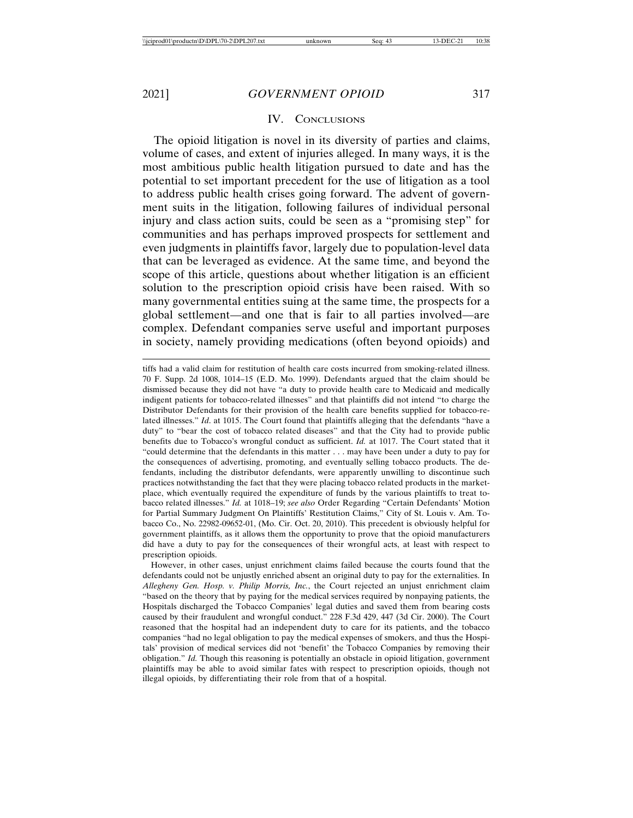# IV. CONCLUSIONS

The opioid litigation is novel in its diversity of parties and claims, volume of cases, and extent of injuries alleged. In many ways, it is the most ambitious public health litigation pursued to date and has the potential to set important precedent for the use of litigation as a tool to address public health crises going forward. The advent of government suits in the litigation, following failures of individual personal injury and class action suits, could be seen as a "promising step" for communities and has perhaps improved prospects for settlement and even judgments in plaintiffs favor, largely due to population-level data that can be leveraged as evidence. At the same time, and beyond the scope of this article, questions about whether litigation is an efficient solution to the prescription opioid crisis have been raised. With so many governmental entities suing at the same time, the prospects for a global settlement—and one that is fair to all parties involved—are complex. Defendant companies serve useful and important purposes in society, namely providing medications (often beyond opioids) and

tiffs had a valid claim for restitution of health care costs incurred from smoking-related illness. 70 F. Supp. 2d 1008, 1014–15 (E.D. Mo. 1999). Defendants argued that the claim should be dismissed because they did not have "a duty to provide health care to Medicaid and medically indigent patients for tobacco-related illnesses" and that plaintiffs did not intend "to charge the Distributor Defendants for their provision of the health care benefits supplied for tobacco-related illnesses." *Id*. at 1015. The Court found that plaintiffs alleging that the defendants "have a duty" to "bear the cost of tobacco related diseases" and that the City had to provide public benefits due to Tobacco's wrongful conduct as sufficient. *Id.* at 1017. The Court stated that it "could determine that the defendants in this matter . . . may have been under a duty to pay for the consequences of advertising, promoting, and eventually selling tobacco products. The defendants, including the distributor defendants, were apparently unwilling to discontinue such practices notwithstanding the fact that they were placing tobacco related products in the marketplace, which eventually required the expenditure of funds by the various plaintiffs to treat tobacco related illnesses." *Id.* at 1018–19; *see also* Order Regarding "Certain Defendants' Motion for Partial Summary Judgment On Plaintiffs' Restitution Claims," City of St. Louis v. Am. Tobacco Co., No. 22982-09652-01, (Mo. Cir. Oct. 20, 2010). This precedent is obviously helpful for government plaintiffs, as it allows them the opportunity to prove that the opioid manufacturers did have a duty to pay for the consequences of their wrongful acts, at least with respect to prescription opioids.

However, in other cases, unjust enrichment claims failed because the courts found that the defendants could not be unjustly enriched absent an original duty to pay for the externalities. In *Allegheny Gen. Hosp. v. Philip Morris, Inc.*, the Court rejected an unjust enrichment claim "based on the theory that by paying for the medical services required by nonpaying patients, the Hospitals discharged the Tobacco Companies' legal duties and saved them from bearing costs caused by their fraudulent and wrongful conduct." 228 F.3d 429, 447 (3d Cir. 2000). The Court reasoned that the hospital had an independent duty to care for its patients, and the tobacco companies "had no legal obligation to pay the medical expenses of smokers, and thus the Hospitals' provision of medical services did not 'benefit' the Tobacco Companies by removing their obligation." *Id.* Though this reasoning is potentially an obstacle in opioid litigation, government plaintiffs may be able to avoid similar fates with respect to prescription opioids, though not illegal opioids, by differentiating their role from that of a hospital.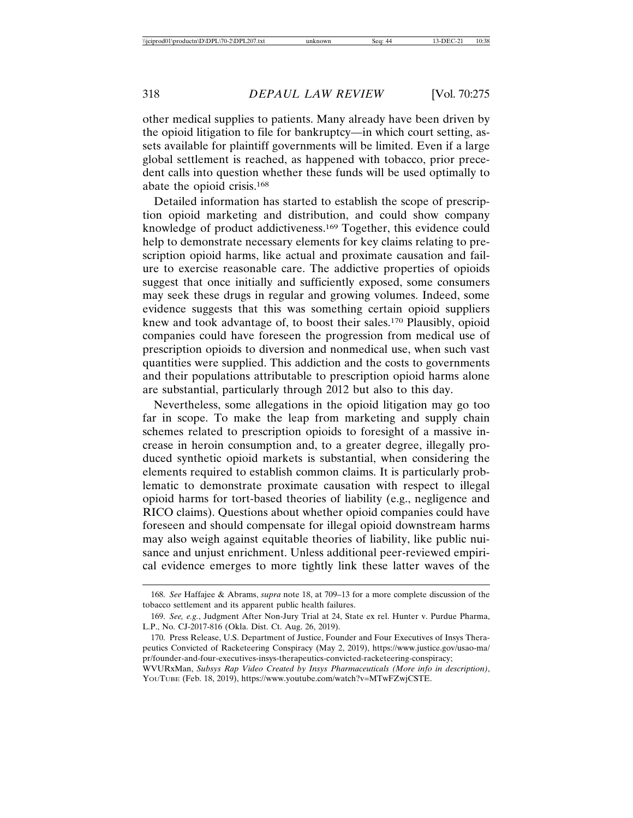other medical supplies to patients. Many already have been driven by the opioid litigation to file for bankruptcy—in which court setting, assets available for plaintiff governments will be limited. Even if a large global settlement is reached, as happened with tobacco, prior precedent calls into question whether these funds will be used optimally to abate the opioid crisis.168

Detailed information has started to establish the scope of prescription opioid marketing and distribution, and could show company knowledge of product addictiveness.169 Together, this evidence could help to demonstrate necessary elements for key claims relating to prescription opioid harms, like actual and proximate causation and failure to exercise reasonable care. The addictive properties of opioids suggest that once initially and sufficiently exposed, some consumers may seek these drugs in regular and growing volumes. Indeed, some evidence suggests that this was something certain opioid suppliers knew and took advantage of, to boost their sales.170 Plausibly, opioid companies could have foreseen the progression from medical use of prescription opioids to diversion and nonmedical use, when such vast quantities were supplied. This addiction and the costs to governments and their populations attributable to prescription opioid harms alone are substantial, particularly through 2012 but also to this day.

Nevertheless, some allegations in the opioid litigation may go too far in scope. To make the leap from marketing and supply chain schemes related to prescription opioids to foresight of a massive increase in heroin consumption and, to a greater degree, illegally produced synthetic opioid markets is substantial, when considering the elements required to establish common claims. It is particularly problematic to demonstrate proximate causation with respect to illegal opioid harms for tort-based theories of liability (e.g., negligence and RICO claims). Questions about whether opioid companies could have foreseen and should compensate for illegal opioid downstream harms may also weigh against equitable theories of liability, like public nuisance and unjust enrichment. Unless additional peer-reviewed empirical evidence emerges to more tightly link these latter waves of the

<sup>168.</sup> *See* Haffajee & Abrams, *supra* note 18, at 709–13 for a more complete discussion of the tobacco settlement and its apparent public health failures.

<sup>169.</sup> *See, e.g.*, Judgment After Non-Jury Trial at 24, State ex rel. Hunter v. Purdue Pharma, L.P., No. CJ-2017-816 (Okla. Dist. Ct. Aug. 26, 2019).

<sup>170.</sup> Press Release, U.S. Department of Justice, Founder and Four Executives of Insys Therapeutics Convicted of Racketeering Conspiracy (May 2, 2019), https://www.justice.gov/usao-ma/ pr/founder-and-four-executives-insys-therapeutics-convicted-racketeering-conspiracy;

WVURxMan, *Subsys Rap Video Created by Insys Pharmaceuticals (More info in description)*, YOUTUBE (Feb. 18, 2019), https://www.youtube.com/watch?v=MTwFZwjCSTE.